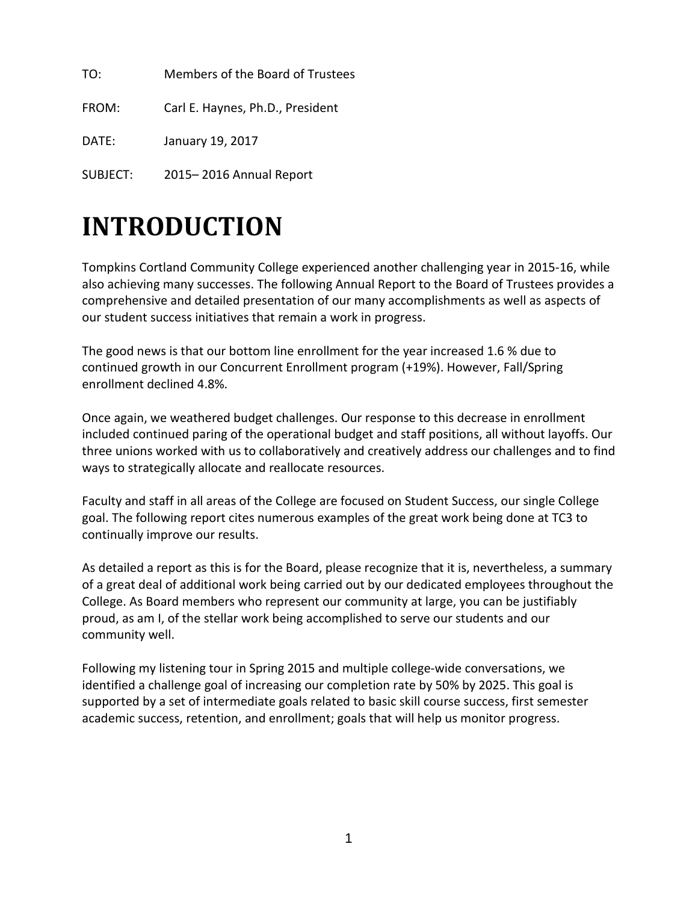TO: Members of the Board of Trustees FROM: Carl E. Haynes, Ph.D., President

DATE: January 19, 2017

SUBJECT: 2015– 2016 Annual Report

# **INTRODUCTION**

Tompkins Cortland Community College experienced another challenging year in 2015-16, while also achieving many successes. The following Annual Report to the Board of Trustees provides a comprehensive and detailed presentation of our many accomplishments as well as aspects of our student success initiatives that remain a work in progress.

The good news is that our bottom line enrollment for the year increased 1.6 % due to continued growth in our Concurrent Enrollment program (+19%). However, Fall/Spring enrollment declined 4.8%.

Once again, we weathered budget challenges. Our response to this decrease in enrollment included continued paring of the operational budget and staff positions, all without layoffs. Our three unions worked with us to collaboratively and creatively address our challenges and to find ways to strategically allocate and reallocate resources.

Faculty and staff in all areas of the College are focused on Student Success, our single College goal. The following report cites numerous examples of the great work being done at TC3 to continually improve our results.

As detailed a report as this is for the Board, please recognize that it is, nevertheless, a summary of a great deal of additional work being carried out by our dedicated employees throughout the College. As Board members who represent our community at large, you can be justifiably proud, as am I, of the stellar work being accomplished to serve our students and our community well.

Following my listening tour in Spring 2015 and multiple college-wide conversations, we identified a challenge goal of increasing our completion rate by 50% by 2025. This goal is supported by a set of intermediate goals related to basic skill course success, first semester academic success, retention, and enrollment; goals that will help us monitor progress.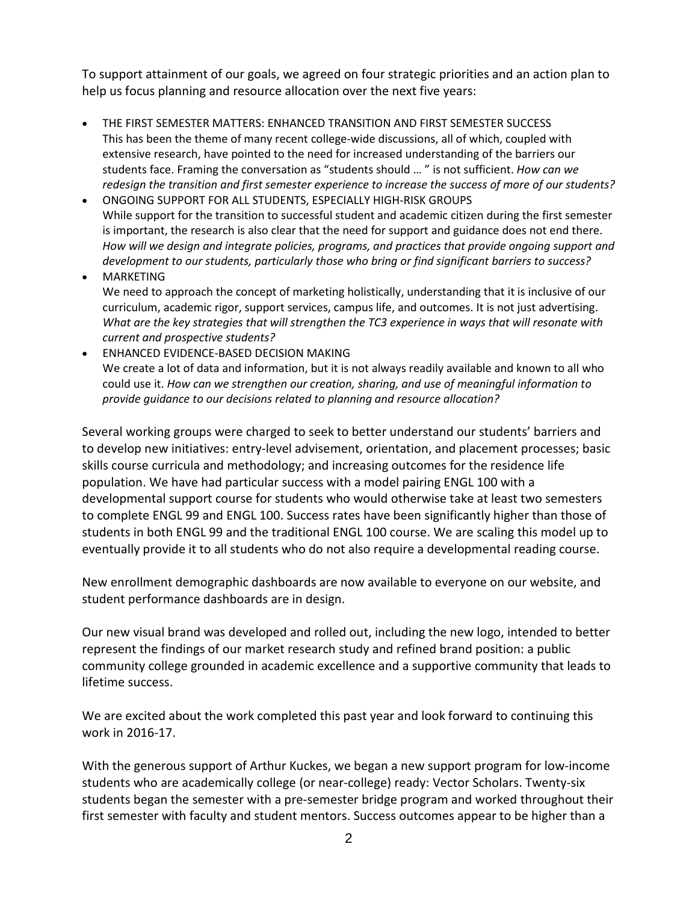To support attainment of our goals, we agreed on four strategic priorities and an action plan to help us focus planning and resource allocation over the next five years:

- THE FIRST SEMESTER MATTERS: ENHANCED TRANSITION AND FIRST SEMESTER SUCCESS This has been the theme of many recent college-wide discussions, all of which, coupled with extensive research, have pointed to the need for increased understanding of the barriers our students face. Framing the conversation as "students should … " is not sufficient. *How can we redesign the transition and first semester experience to increase the success of more of our students?*
- ONGOING SUPPORT FOR ALL STUDENTS, ESPECIALLY HIGH-RISK GROUPS While support for the transition to successful student and academic citizen during the first semester is important, the research is also clear that the need for support and guidance does not end there. *How will we design and integrate policies, programs, and practices that provide ongoing support and development to our students, particularly those who bring or find significant barriers to success?*
- MARKETING We need to approach the concept of marketing holistically, understanding that it is inclusive of our curriculum, academic rigor, support services, campus life, and outcomes. It is not just advertising. *What are the key strategies that will strengthen the TC3 experience in ways that will resonate with current and prospective students?*
- ENHANCED EVIDENCE-BASED DECISION MAKING We create a lot of data and information, but it is not always readily available and known to all who could use it. *How can we strengthen our creation, sharing, and use of meaningful information to provide guidance to our decisions related to planning and resource allocation?*

Several working groups were charged to seek to better understand our students' barriers and to develop new initiatives: entry-level advisement, orientation, and placement processes; basic skills course curricula and methodology; and increasing outcomes for the residence life population. We have had particular success with a model pairing ENGL 100 with a developmental support course for students who would otherwise take at least two semesters to complete ENGL 99 and ENGL 100. Success rates have been significantly higher than those of students in both ENGL 99 and the traditional ENGL 100 course. We are scaling this model up to eventually provide it to all students who do not also require a developmental reading course.

New enrollment demographic dashboards are now available to everyone on our website, and student performance dashboards are in design.

Our new visual brand was developed and rolled out, including the new logo, intended to better represent the findings of our market research study and refined brand position: a public community college grounded in academic excellence and a supportive community that leads to lifetime success.

We are excited about the work completed this past year and look forward to continuing this work in 2016-17.

With the generous support of Arthur Kuckes, we began a new support program for low-income students who are academically college (or near-college) ready: Vector Scholars. Twenty-six students began the semester with a pre-semester bridge program and worked throughout their first semester with faculty and student mentors. Success outcomes appear to be higher than a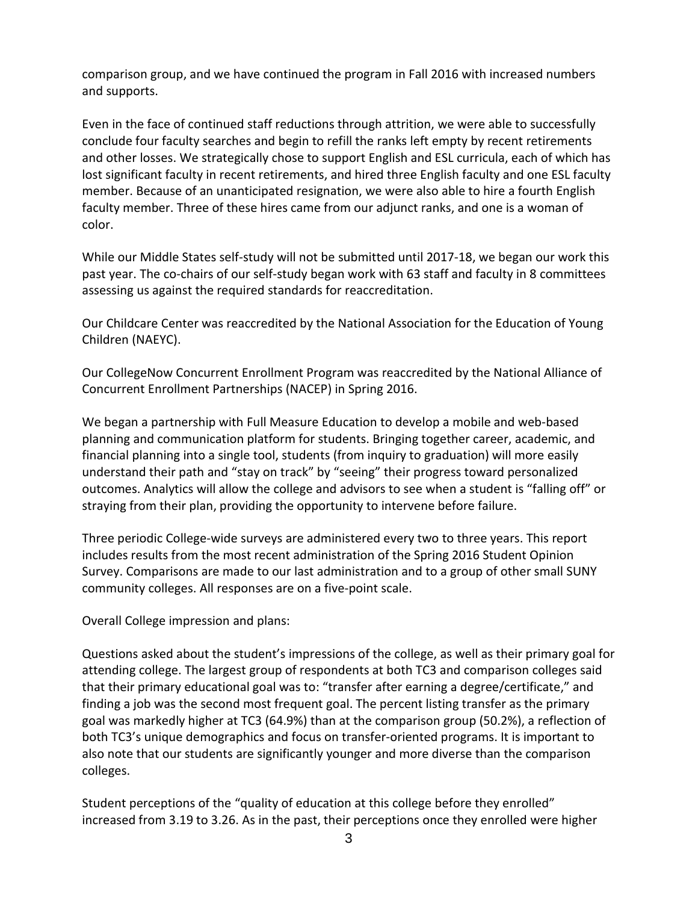comparison group, and we have continued the program in Fall 2016 with increased numbers and supports.

Even in the face of continued staff reductions through attrition, we were able to successfully conclude four faculty searches and begin to refill the ranks left empty by recent retirements and other losses. We strategically chose to support English and ESL curricula, each of which has lost significant faculty in recent retirements, and hired three English faculty and one ESL faculty member. Because of an unanticipated resignation, we were also able to hire a fourth English faculty member. Three of these hires came from our adjunct ranks, and one is a woman of color.

While our Middle States self-study will not be submitted until 2017-18, we began our work this past year. The co-chairs of our self-study began work with 63 staff and faculty in 8 committees assessing us against the required standards for reaccreditation.

Our Childcare Center was reaccredited by the National Association for the Education of Young Children (NAEYC).

Our CollegeNow Concurrent Enrollment Program was reaccredited by the National Alliance of Concurrent Enrollment Partnerships (NACEP) in Spring 2016.

We began a partnership with Full Measure Education to develop a mobile and web-based planning and communication platform for students. Bringing together career, academic, and financial planning into a single tool, students (from inquiry to graduation) will more easily understand their path and "stay on track" by "seeing" their progress toward personalized outcomes. Analytics will allow the college and advisors to see when a student is "falling off" or straying from their plan, providing the opportunity to intervene before failure.

Three periodic College-wide surveys are administered every two to three years. This report includes results from the most recent administration of the Spring 2016 Student Opinion Survey. Comparisons are made to our last administration and to a group of other small SUNY community colleges. All responses are on a five-point scale.

Overall College impression and plans:

Questions asked about the student's impressions of the college, as well as their primary goal for attending college. The largest group of respondents at both TC3 and comparison colleges said that their primary educational goal was to: "transfer after earning a degree/certificate," and finding a job was the second most frequent goal. The percent listing transfer as the primary goal was markedly higher at TC3 (64.9%) than at the comparison group (50.2%), a reflection of both TC3's unique demographics and focus on transfer-oriented programs. It is important to also note that our students are significantly younger and more diverse than the comparison colleges.

Student perceptions of the "quality of education at this college before they enrolled" increased from 3.19 to 3.26. As in the past, their perceptions once they enrolled were higher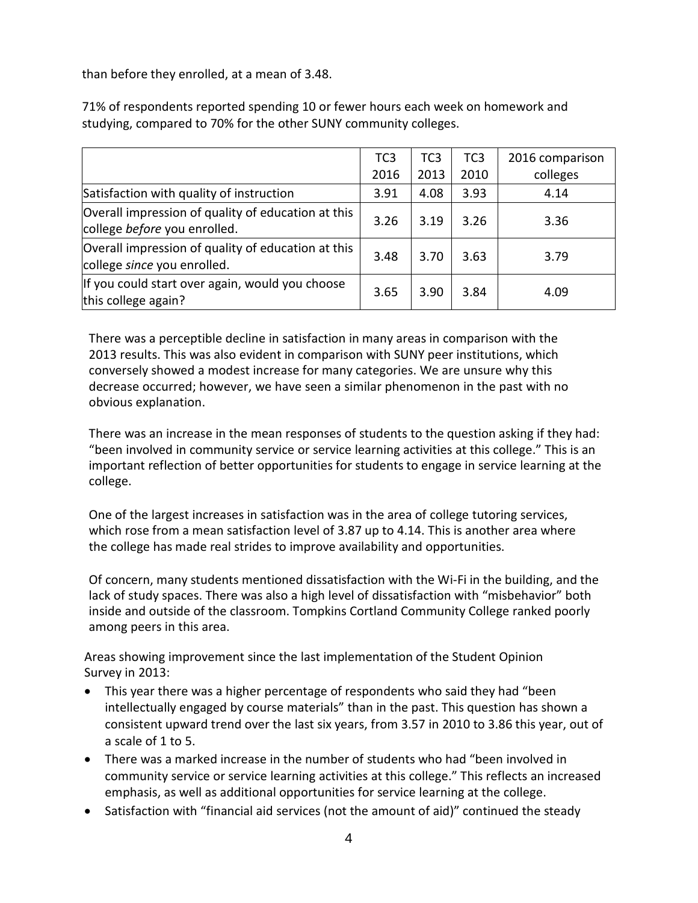than before they enrolled, at a mean of 3.48.

|                                                                                    | TC <sub>3</sub><br>2016 | TC <sub>3</sub><br>2013 | TC <sub>3</sub><br>2010 | 2016 comparison<br>colleges |
|------------------------------------------------------------------------------------|-------------------------|-------------------------|-------------------------|-----------------------------|
| Satisfaction with quality of instruction                                           | 3.91                    | 4.08                    | 3.93                    | 4.14                        |
| Overall impression of quality of education at this<br>college before you enrolled. | 3.26                    | 3.19                    | 3.26                    | 3.36                        |
| Overall impression of quality of education at this<br>college since you enrolled.  | 3.48                    | 3.70                    | 3.63                    | 3.79                        |
| If you could start over again, would you choose<br>this college again?             | 3.65                    | 3.90                    | 3.84                    | 4.09                        |

71% of respondents reported spending 10 or fewer hours each week on homework and studying, compared to 70% for the other SUNY community colleges.

There was a perceptible decline in satisfaction in many areas in comparison with the 2013 results. This was also evident in comparison with SUNY peer institutions, which conversely showed a modest increase for many categories. We are unsure why this decrease occurred; however, we have seen a similar phenomenon in the past with no obvious explanation.

There was an increase in the mean responses of students to the question asking if they had: "been involved in community service or service learning activities at this college." This is an important reflection of better opportunities for students to engage in service learning at the college.

One of the largest increases in satisfaction was in the area of college tutoring services, which rose from a mean satisfaction level of 3.87 up to 4.14. This is another area where the college has made real strides to improve availability and opportunities.

Of concern, many students mentioned dissatisfaction with the Wi-Fi in the building, and the lack of study spaces. There was also a high level of dissatisfaction with "misbehavior" both inside and outside of the classroom. Tompkins Cortland Community College ranked poorly among peers in this area.

Areas showing improvement since the last implementation of the Student Opinion Survey in 2013:

- This year there was a higher percentage of respondents who said they had "been intellectually engaged by course materials" than in the past. This question has shown a consistent upward trend over the last six years, from 3.57 in 2010 to 3.86 this year, out of a scale of 1 to 5.
- There was a marked increase in the number of students who had "been involved in community service or service learning activities at this college." This reflects an increased emphasis, as well as additional opportunities for service learning at the college.
- Satisfaction with "financial aid services (not the amount of aid)" continued the steady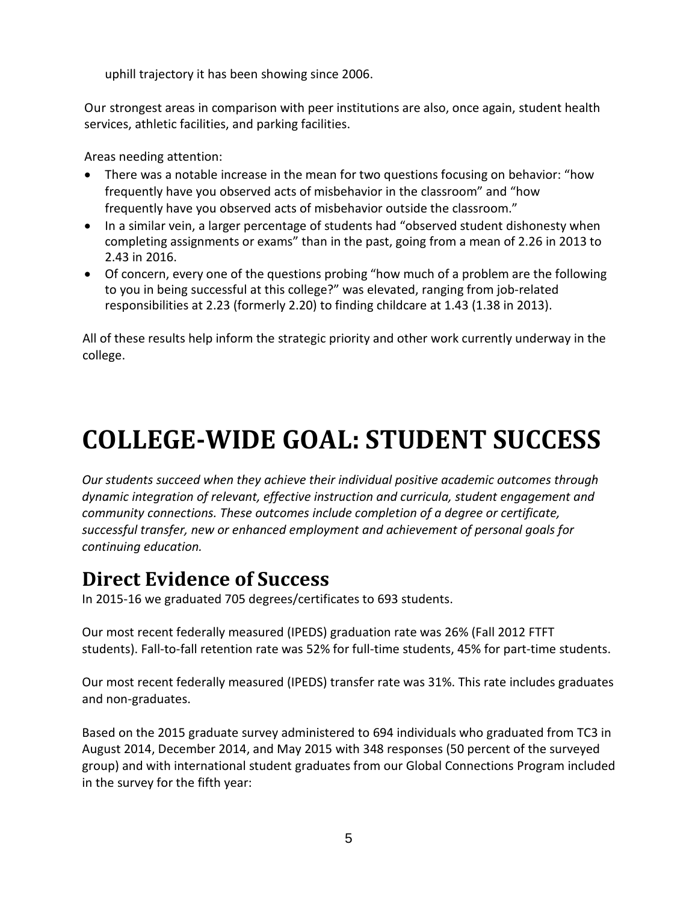uphill trajectory it has been showing since 2006.

Our strongest areas in comparison with peer institutions are also, once again, student health services, athletic facilities, and parking facilities.

Areas needing attention:

- There was a notable increase in the mean for two questions focusing on behavior: "how frequently have you observed acts of misbehavior in the classroom" and "how frequently have you observed acts of misbehavior outside the classroom."
- In a similar vein, a larger percentage of students had "observed student dishonesty when completing assignments or exams" than in the past, going from a mean of 2.26 in 2013 to 2.43 in 2016.
- Of concern, every one of the questions probing "how much of a problem are the following to you in being successful at this college?" was elevated, ranging from job-related responsibilities at 2.23 (formerly 2.20) to finding childcare at 1.43 (1.38 in 2013).

All of these results help inform the strategic priority and other work currently underway in the college.

# **COLLEGE-WIDE GOAL: STUDENT SUCCESS**

*Our students succeed when they achieve their individual positive academic outcomes through dynamic integration of relevant, effective instruction and curricula, student engagement and community connections. These outcomes include completion of a degree or certificate, successful transfer, new or enhanced employment and achievement of personal goals for continuing education.*

# **Direct Evidence of Success**

In 2015-16 we graduated 705 degrees/certificates to 693 students.

Our most recent federally measured (IPEDS) graduation rate was 26% (Fall 2012 FTFT students). Fall-to-fall retention rate was 52% for full-time students, 45% for part-time students.

Our most recent federally measured (IPEDS) transfer rate was 31%. This rate includes graduates and non-graduates.

Based on the 2015 graduate survey administered to 694 individuals who graduated from TC3 in August 2014, December 2014, and May 2015 with 348 responses (50 percent of the surveyed group) and with international student graduates from our Global Connections Program included in the survey for the fifth year: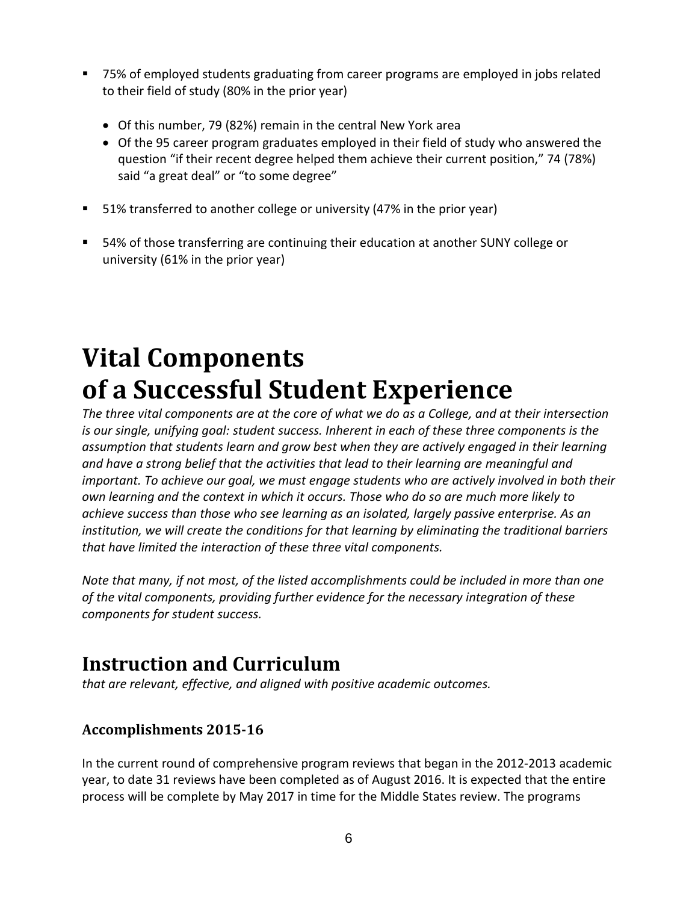- 75% of employed students graduating from career programs are employed in jobs related to their field of study (80% in the prior year)
	- Of this number, 79 (82%) remain in the central New York area
	- Of the 95 career program graduates employed in their field of study who answered the question "if their recent degree helped them achieve their current position," 74 (78%) said "a great deal" or "to some degree"
- 51% transferred to another college or university (47% in the prior year)
- 54% of those transferring are continuing their education at another SUNY college or university (61% in the prior year)

# **Vital Components of a Successful Student Experience**

*The three vital components are at the core of what we do as a College, and at their intersection is our single, unifying goal: student success. Inherent in each of these three components is the assumption that students learn and grow best when they are actively engaged in their learning and have a strong belief that the activities that lead to their learning are meaningful and important. To achieve our goal, we must engage students who are actively involved in both their own learning and the context in which it occurs. Those who do so are much more likely to achieve success than those who see learning as an isolated, largely passive enterprise. As an institution, we will create the conditions for that learning by eliminating the traditional barriers that have limited the interaction of these three vital components.*

*Note that many, if not most, of the listed accomplishments could be included in more than one of the vital components, providing further evidence for the necessary integration of these components for student success.*

## **Instruction and Curriculum**

*that are relevant, effective, and aligned with positive academic outcomes.* 

## **Accomplishments 2015-16**

In the current round of comprehensive program reviews that began in the 2012-2013 academic year, to date 31 reviews have been completed as of August 2016. It is expected that the entire process will be complete by May 2017 in time for the Middle States review. The programs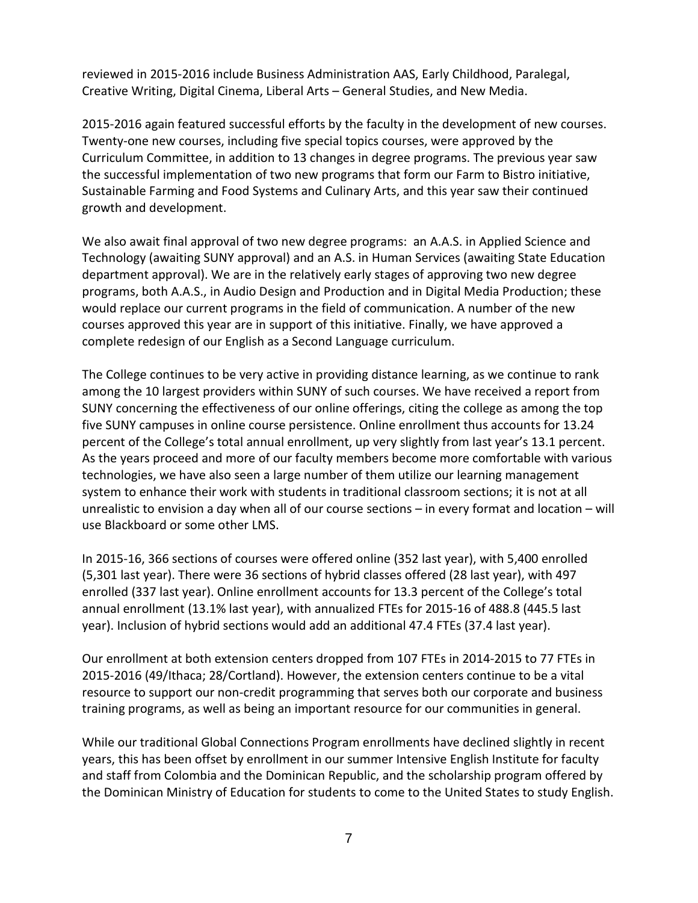reviewed in 2015-2016 include Business Administration AAS, Early Childhood, Paralegal, Creative Writing, Digital Cinema, Liberal Arts – General Studies, and New Media.

2015-2016 again featured successful efforts by the faculty in the development of new courses. Twenty-one new courses, including five special topics courses, were approved by the Curriculum Committee, in addition to 13 changes in degree programs. The previous year saw the successful implementation of two new programs that form our Farm to Bistro initiative, Sustainable Farming and Food Systems and Culinary Arts, and this year saw their continued growth and development.

We also await final approval of two new degree programs: an A.A.S. in Applied Science and Technology (awaiting SUNY approval) and an A.S. in Human Services (awaiting State Education department approval). We are in the relatively early stages of approving two new degree programs, both A.A.S., in Audio Design and Production and in Digital Media Production; these would replace our current programs in the field of communication. A number of the new courses approved this year are in support of this initiative. Finally, we have approved a complete redesign of our English as a Second Language curriculum.

The College continues to be very active in providing distance learning, as we continue to rank among the 10 largest providers within SUNY of such courses. We have received a report from SUNY concerning the effectiveness of our online offerings, citing the college as among the top five SUNY campuses in online course persistence. Online enrollment thus accounts for 13.24 percent of the College's total annual enrollment, up very slightly from last year's 13.1 percent. As the years proceed and more of our faculty members become more comfortable with various technologies, we have also seen a large number of them utilize our learning management system to enhance their work with students in traditional classroom sections; it is not at all unrealistic to envision a day when all of our course sections – in every format and location – will use Blackboard or some other LMS.

In 2015-16, 366 sections of courses were offered online (352 last year), with 5,400 enrolled (5,301 last year). There were 36 sections of hybrid classes offered (28 last year), with 497 enrolled (337 last year). Online enrollment accounts for 13.3 percent of the College's total annual enrollment (13.1% last year), with annualized FTEs for 2015-16 of 488.8 (445.5 last year). Inclusion of hybrid sections would add an additional 47.4 FTEs (37.4 last year).

Our enrollment at both extension centers dropped from 107 FTEs in 2014-2015 to 77 FTEs in 2015-2016 (49/Ithaca; 28/Cortland). However, the extension centers continue to be a vital resource to support our non-credit programming that serves both our corporate and business training programs, as well as being an important resource for our communities in general.

While our traditional Global Connections Program enrollments have declined slightly in recent years, this has been offset by enrollment in our summer Intensive English Institute for faculty and staff from Colombia and the Dominican Republic, and the scholarship program offered by the Dominican Ministry of Education for students to come to the United States to study English.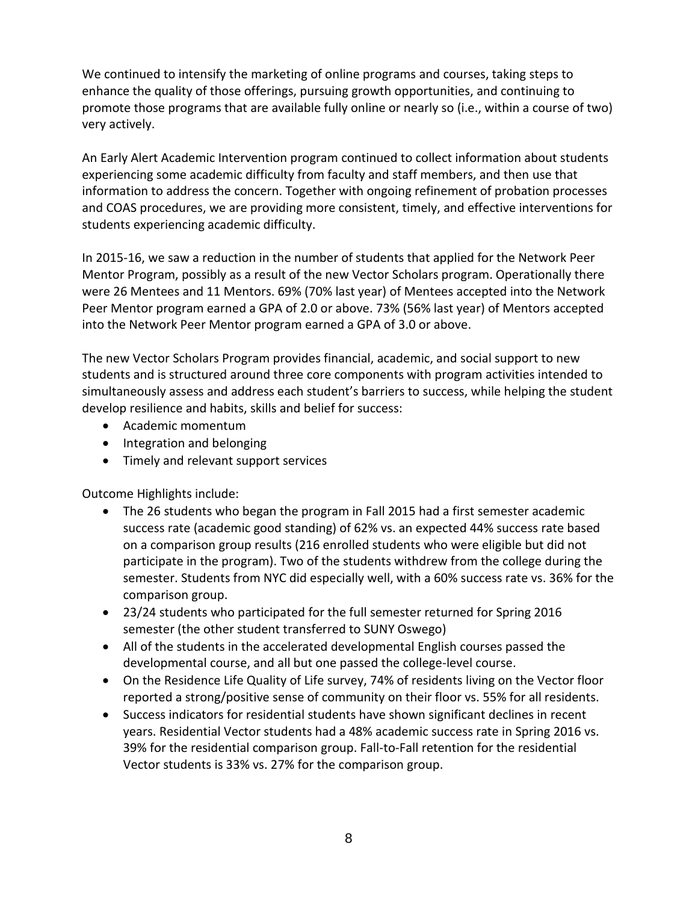We continued to intensify the marketing of online programs and courses, taking steps to enhance the quality of those offerings, pursuing growth opportunities, and continuing to promote those programs that are available fully online or nearly so (i.e., within a course of two) very actively.

An Early Alert Academic Intervention program continued to collect information about students experiencing some academic difficulty from faculty and staff members, and then use that information to address the concern. Together with ongoing refinement of probation processes and COAS procedures, we are providing more consistent, timely, and effective interventions for students experiencing academic difficulty.

In 2015-16, we saw a reduction in the number of students that applied for the Network Peer Mentor Program, possibly as a result of the new Vector Scholars program. Operationally there were 26 Mentees and 11 Mentors. 69% (70% last year) of Mentees accepted into the Network Peer Mentor program earned a GPA of 2.0 or above. 73% (56% last year) of Mentors accepted into the Network Peer Mentor program earned a GPA of 3.0 or above.

The new Vector Scholars Program provides financial, academic, and social support to new students and is structured around three core components with program activities intended to simultaneously assess and address each student's barriers to success, while helping the student develop resilience and habits, skills and belief for success:

- Academic momentum
- Integration and belonging
- Timely and relevant support services

Outcome Highlights include:

- The 26 students who began the program in Fall 2015 had a first semester academic success rate (academic good standing) of 62% vs. an expected 44% success rate based on a comparison group results (216 enrolled students who were eligible but did not participate in the program). Two of the students withdrew from the college during the semester. Students from NYC did especially well, with a 60% success rate vs. 36% for the comparison group.
- 23/24 students who participated for the full semester returned for Spring 2016 semester (the other student transferred to SUNY Oswego)
- All of the students in the accelerated developmental English courses passed the developmental course, and all but one passed the college-level course.
- On the Residence Life Quality of Life survey, 74% of residents living on the Vector floor reported a strong/positive sense of community on their floor vs. 55% for all residents.
- Success indicators for residential students have shown significant declines in recent years. Residential Vector students had a 48% academic success rate in Spring 2016 vs. 39% for the residential comparison group. Fall-to-Fall retention for the residential Vector students is 33% vs. 27% for the comparison group.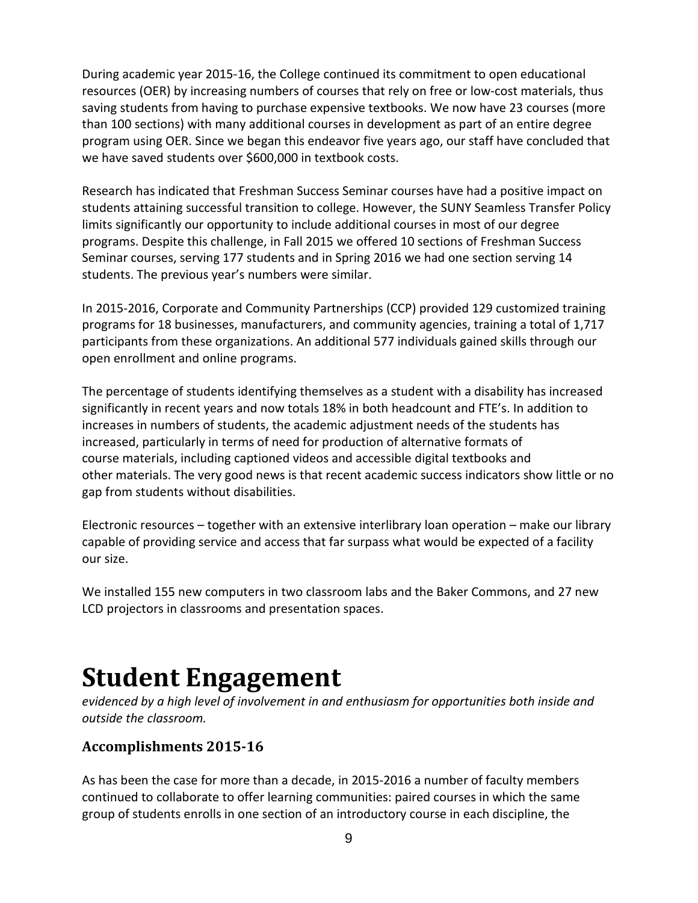During academic year 2015-16, the College continued its commitment to open educational resources (OER) by increasing numbers of courses that rely on free or low-cost materials, thus saving students from having to purchase expensive textbooks. We now have 23 courses (more than 100 sections) with many additional courses in development as part of an entire degree program using OER. Since we began this endeavor five years ago, our staff have concluded that we have saved students over \$600,000 in textbook costs.

Research has indicated that Freshman Success Seminar courses have had a positive impact on students attaining successful transition to college. However, the SUNY Seamless Transfer Policy limits significantly our opportunity to include additional courses in most of our degree programs. Despite this challenge, in Fall 2015 we offered 10 sections of Freshman Success Seminar courses, serving 177 students and in Spring 2016 we had one section serving 14 students. The previous year's numbers were similar.

In 2015-2016, Corporate and Community Partnerships (CCP) provided 129 customized training programs for 18 businesses, manufacturers, and community agencies, training a total of 1,717 participants from these organizations. An additional 577 individuals gained skills through our open enrollment and online programs.

The percentage of students identifying themselves as a student with a disability has increased significantly in recent years and now totals 18% in both headcount and FTE's. In addition to increases in numbers of students, the academic adjustment needs of the students has increased, particularly in terms of need for production of alternative formats of course materials, including captioned videos and accessible digital textbooks and other materials. The very good news is that recent academic success indicators show little or no gap from students without disabilities.

Electronic resources – together with an extensive interlibrary loan operation – make our library capable of providing service and access that far surpass what would be expected of a facility our size.

We installed 155 new computers in two classroom labs and the Baker Commons, and 27 new LCD projectors in classrooms and presentation spaces.

# **Student Engagement**

*evidenced by a high level of involvement in and enthusiasm for opportunities both inside and outside the classroom.* 

## **Accomplishments 2015-16**

As has been the case for more than a decade, in 2015-2016 a number of faculty members continued to collaborate to offer learning communities: paired courses in which the same group of students enrolls in one section of an introductory course in each discipline, the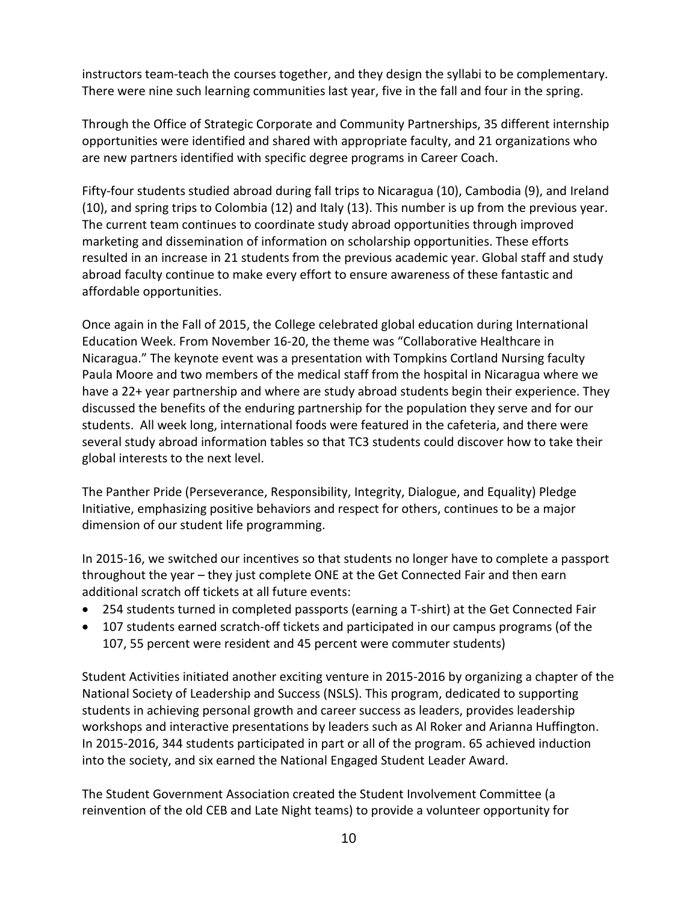instructors team-teach the courses together, and they design the syllabi to be complementary. There were nine such learning communities last year, five in the fall and four in the spring.

Through the Office of Strategic Corporate and Community Partnerships, 35 different internship opportunities were identified and shared with appropriate faculty, and 21 organizations who are new partners identified with specific degree programs in Career Coach.

Fifty-four students studied abroad during fall trips to Nicaragua (10), Cambodia (9), and Ireland (10), and spring trips to Colombia (12) and Italy (13). This number is up from the previous year. The current team continues to coordinate study abroad opportunities through improved marketing and dissemination of information on scholarship opportunities. These efforts resulted in an increase in 21 students from the previous academic year. Global staff and study abroad faculty continue to make every effort to ensure awareness of these fantastic and affordable opportunities.

Once again in the Fall of 2015, the College celebrated global education during International Education Week. From November 16-20, the theme was "Collaborative Healthcare in Nicaragua." The keynote event was a presentation with Tompkins Cortland Nursing faculty Paula Moore and two members of the medical staff from the hospital in Nicaragua where we have a 22+ year partnership and where are study abroad students begin their experience. They discussed the benefits of the enduring partnership for the population they serve and for our students. All week long, international foods were featured in the cafeteria, and there were several study abroad information tables so that TC3 students could discover how to take their global interests to the next level.

The Panther Pride (Perseverance, Responsibility, Integrity, Dialogue, and Equality) Pledge Initiative, emphasizing positive behaviors and respect for others, continues to be a major dimension of our student life programming.

In 2015-16, we switched our incentives so that students no longer have to complete a passport throughout the year – they just complete ONE at the Get Connected Fair and then earn additional scratch off tickets at all future events:

- 254 students turned in completed passports (earning a T-shirt) at the Get Connected Fair
- 107 students earned scratch-off tickets and participated in our campus programs (of the 107, 55 percent were resident and 45 percent were commuter students)

Student Activities initiated another exciting venture in 2015-2016 by organizing a chapter of the National Society of Leadership and Success (NSLS). This program, dedicated to supporting students in achieving personal growth and career success as leaders, provides leadership workshops and interactive presentations by leaders such as Al Roker and Arianna Huffington. In 2015-2016, 344 students participated in part or all of the program. 65 achieved induction into the society, and six earned the National Engaged Student Leader Award.

The Student Government Association created the Student Involvement Committee (a reinvention of the old CEB and Late Night teams) to provide a volunteer opportunity for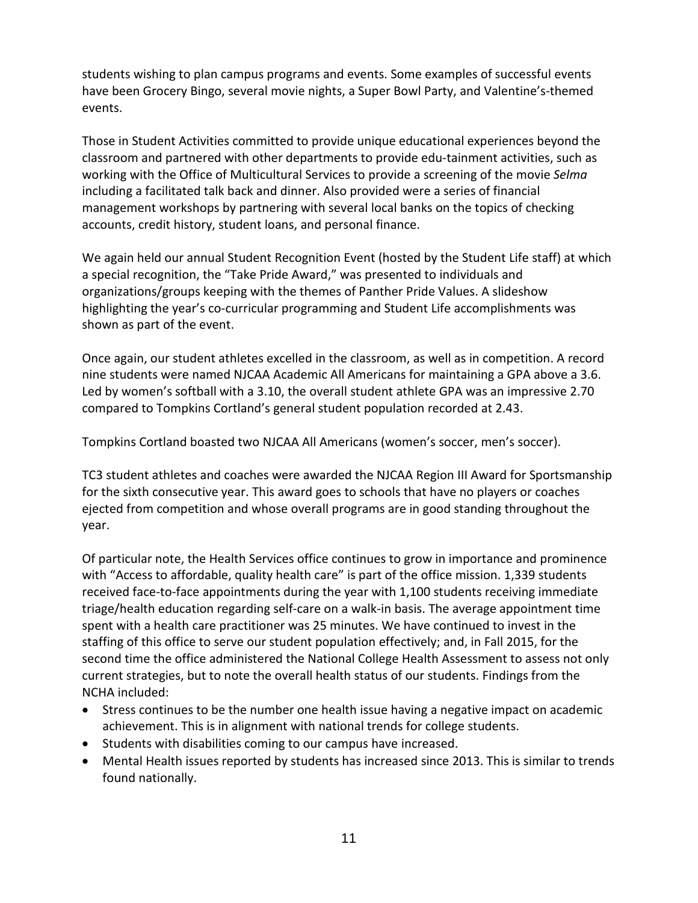students wishing to plan campus programs and events. Some examples of successful events have been Grocery Bingo, several movie nights, a Super Bowl Party, and Valentine's-themed events.

Those in Student Activities committed to provide unique educational experiences beyond the classroom and partnered with other departments to provide edu-tainment activities, such as working with the Office of Multicultural Services to provide a screening of the movie *Selma*  including a facilitated talk back and dinner. Also provided were a series of financial management workshops by partnering with several local banks on the topics of checking accounts, credit history, student loans, and personal finance.

We again held our annual Student Recognition Event (hosted by the Student Life staff) at which a special recognition, the "Take Pride Award," was presented to individuals and organizations/groups keeping with the themes of Panther Pride Values. A slideshow highlighting the year's co-curricular programming and Student Life accomplishments was shown as part of the event.

Once again, our student athletes excelled in the classroom, as well as in competition. A record nine students were named NJCAA Academic All Americans for maintaining a GPA above a 3.6. Led by women's softball with a 3.10, the overall student athlete GPA was an impressive 2.70 compared to Tompkins Cortland's general student population recorded at 2.43.

Tompkins Cortland boasted two NJCAA All Americans (women's soccer, men's soccer).

TC3 student athletes and coaches were awarded the NJCAA Region III Award for Sportsmanship for the sixth consecutive year. This award goes to schools that have no players or coaches ejected from competition and whose overall programs are in good standing throughout the year.

Of particular note, the Health Services office continues to grow in importance and prominence with "Access to affordable, quality health care" is part of the office mission. 1,339 students received face-to-face appointments during the year with 1,100 students receiving immediate triage/health education regarding self-care on a walk-in basis. The average appointment time spent with a health care practitioner was 25 minutes. We have continued to invest in the staffing of this office to serve our student population effectively; and, in Fall 2015, for the second time the office administered the National College Health Assessment to assess not only current strategies, but to note the overall health status of our students. Findings from the NCHA included:

- Stress continues to be the number one health issue having a negative impact on academic achievement. This is in alignment with national trends for college students.
- Students with disabilities coming to our campus have increased.
- Mental Health issues reported by students has increased since 2013. This is similar to trends found nationally.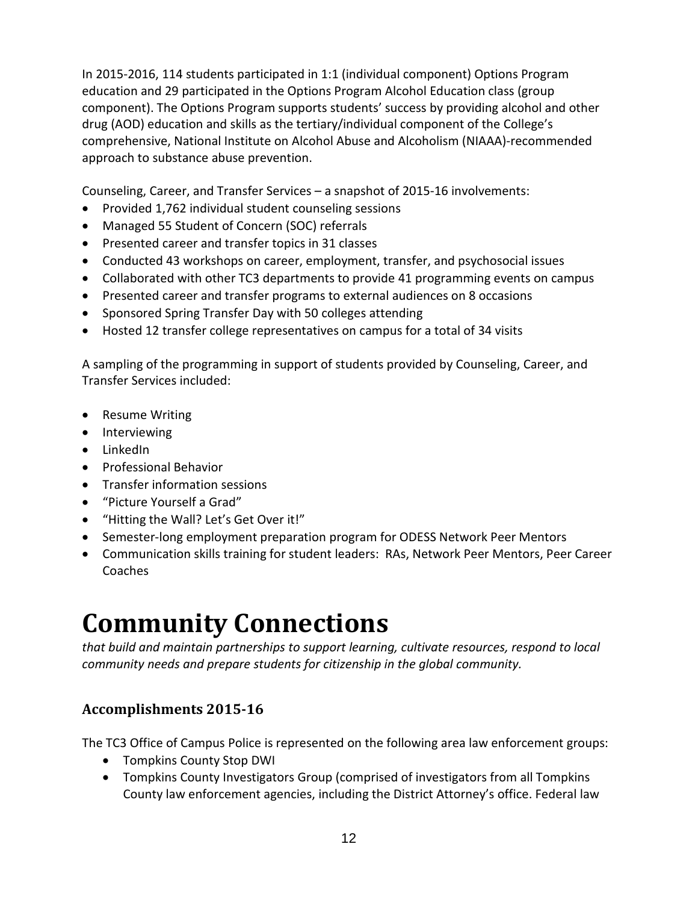In 2015-2016, 114 students participated in 1:1 (individual component) Options Program education and 29 participated in the Options Program Alcohol Education class (group component). The Options Program supports students' success by providing alcohol and other drug (AOD) education and skills as the tertiary/individual component of the College's comprehensive, National Institute on Alcohol Abuse and Alcoholism (NIAAA)-recommended approach to substance abuse prevention.

Counseling, Career, and Transfer Services – a snapshot of 2015-16 involvements:

- Provided 1,762 individual student counseling sessions
- Managed 55 Student of Concern (SOC) referrals
- Presented career and transfer topics in 31 classes
- Conducted 43 workshops on career, employment, transfer, and psychosocial issues
- Collaborated with other TC3 departments to provide 41 programming events on campus
- Presented career and transfer programs to external audiences on 8 occasions
- Sponsored Spring Transfer Day with 50 colleges attending
- Hosted 12 transfer college representatives on campus for a total of 34 visits

A sampling of the programming in support of students provided by Counseling, Career, and Transfer Services included:

- Resume Writing
- Interviewing
- LinkedIn
- Professional Behavior
- Transfer information sessions
- "Picture Yourself a Grad"
- "Hitting the Wall? Let's Get Over it!"
- Semester-long employment preparation program for ODESS Network Peer Mentors
- Communication skills training for student leaders: RAs, Network Peer Mentors, Peer Career Coaches

# **Community Connections**

*that build and maintain partnerships to support learning, cultivate resources, respond to local community needs and prepare students for citizenship in the global community.*

## **Accomplishments 2015-16**

The TC3 Office of Campus Police is represented on the following area law enforcement groups:

- Tompkins County Stop DWI
- Tompkins County Investigators Group (comprised of investigators from all Tompkins County law enforcement agencies, including the District Attorney's office. Federal law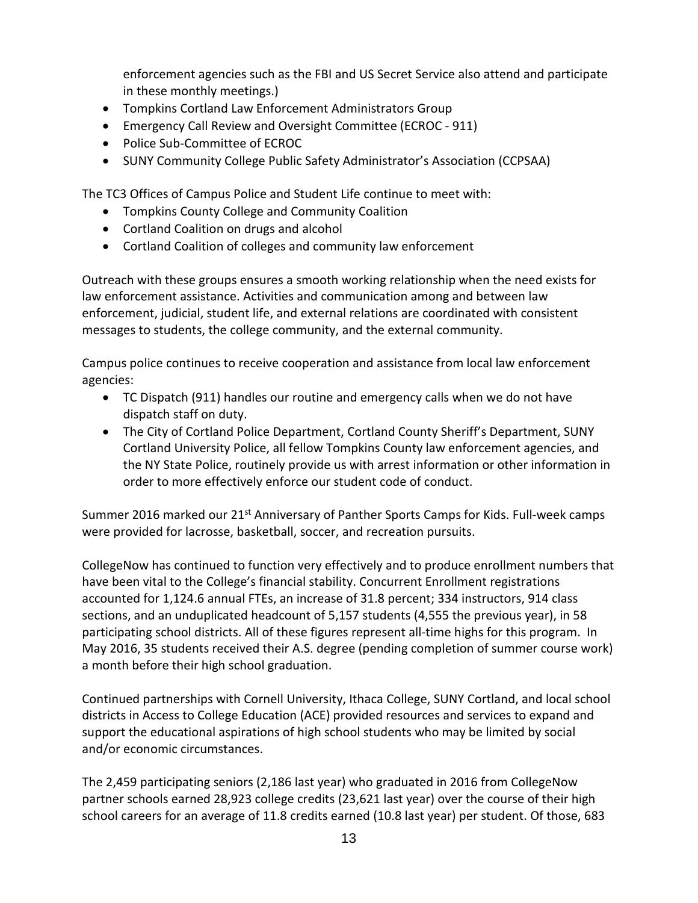enforcement agencies such as the FBI and US Secret Service also attend and participate in these monthly meetings.)

- Tompkins Cortland Law Enforcement Administrators Group
- Emergency Call Review and Oversight Committee (ECROC 911)
- Police Sub-Committee of ECROC
- SUNY Community College Public Safety Administrator's Association (CCPSAA)

The TC3 Offices of Campus Police and Student Life continue to meet with:

- Tompkins County College and Community Coalition
- Cortland Coalition on drugs and alcohol
- Cortland Coalition of colleges and community law enforcement

Outreach with these groups ensures a smooth working relationship when the need exists for law enforcement assistance. Activities and communication among and between law enforcement, judicial, student life, and external relations are coordinated with consistent messages to students, the college community, and the external community.

Campus police continues to receive cooperation and assistance from local law enforcement agencies:

- TC Dispatch (911) handles our routine and emergency calls when we do not have dispatch staff on duty.
- The City of Cortland Police Department, Cortland County Sheriff's Department, SUNY Cortland University Police, all fellow Tompkins County law enforcement agencies, and the NY State Police, routinely provide us with arrest information or other information in order to more effectively enforce our student code of conduct.

Summer 2016 marked our 21<sup>st</sup> Anniversary of Panther Sports Camps for Kids. Full-week camps were provided for lacrosse, basketball, soccer, and recreation pursuits.

CollegeNow has continued to function very effectively and to produce enrollment numbers that have been vital to the College's financial stability. Concurrent Enrollment registrations accounted for 1,124.6 annual FTEs, an increase of 31.8 percent; 334 instructors, 914 class sections, and an unduplicated headcount of 5,157 students (4,555 the previous year), in 58 participating school districts. All of these figures represent all-time highs for this program. In May 2016, 35 students received their A.S. degree (pending completion of summer course work) a month before their high school graduation.

Continued partnerships with Cornell University, Ithaca College, SUNY Cortland, and local school districts in Access to College Education (ACE) provided resources and services to expand and support the educational aspirations of high school students who may be limited by social and/or economic circumstances.

The 2,459 participating seniors (2,186 last year) who graduated in 2016 from CollegeNow partner schools earned 28,923 college credits (23,621 last year) over the course of their high school careers for an average of 11.8 credits earned (10.8 last year) per student. Of those, 683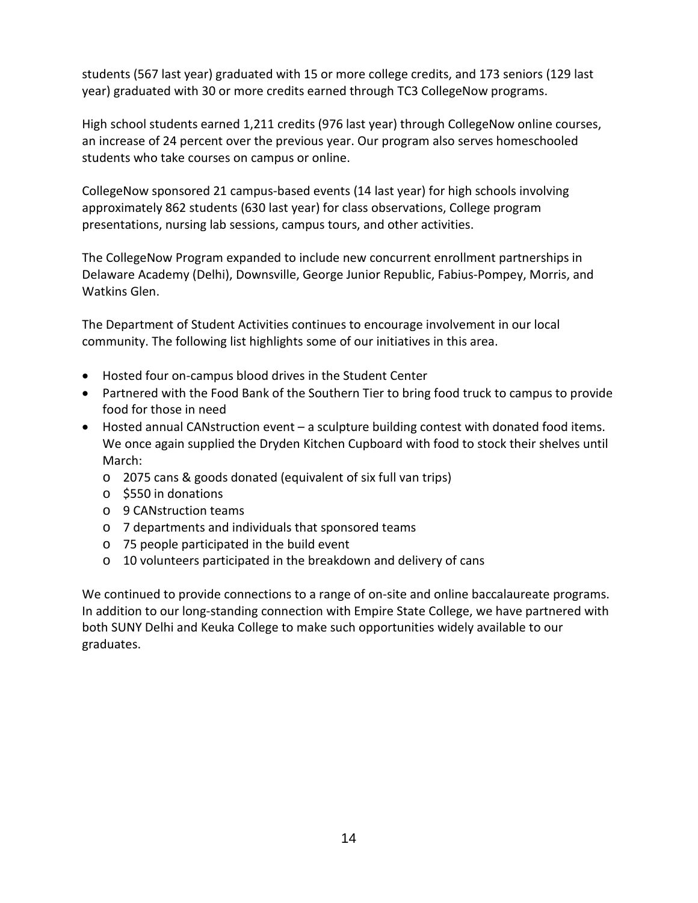students (567 last year) graduated with 15 or more college credits, and 173 seniors (129 last year) graduated with 30 or more credits earned through TC3 CollegeNow programs.

High school students earned 1,211 credits (976 last year) through CollegeNow online courses, an increase of 24 percent over the previous year. Our program also serves homeschooled students who take courses on campus or online.

CollegeNow sponsored 21 campus-based events (14 last year) for high schools involving approximately 862 students (630 last year) for class observations, College program presentations, nursing lab sessions, campus tours, and other activities.

The CollegeNow Program expanded to include new concurrent enrollment partnerships in Delaware Academy (Delhi), Downsville, George Junior Republic, Fabius-Pompey, Morris, and Watkins Glen.

The Department of Student Activities continues to encourage involvement in our local community. The following list highlights some of our initiatives in this area.

- Hosted four on-campus blood drives in the Student Center
- Partnered with the Food Bank of the Southern Tier to bring food truck to campus to provide food for those in need
- Hosted annual CANstruction event a sculpture building contest with donated food items. We once again supplied the Dryden Kitchen Cupboard with food to stock their shelves until March:
	- o 2075 cans & goods donated (equivalent of six full van trips)
	- o \$550 in donations
	- o 9 CANstruction teams
	- o 7 departments and individuals that sponsored teams
	- o 75 people participated in the build event
	- o 10 volunteers participated in the breakdown and delivery of cans

We continued to provide connections to a range of on-site and online baccalaureate programs. In addition to our long-standing connection with Empire State College, we have partnered with both SUNY Delhi and Keuka College to make such opportunities widely available to our graduates.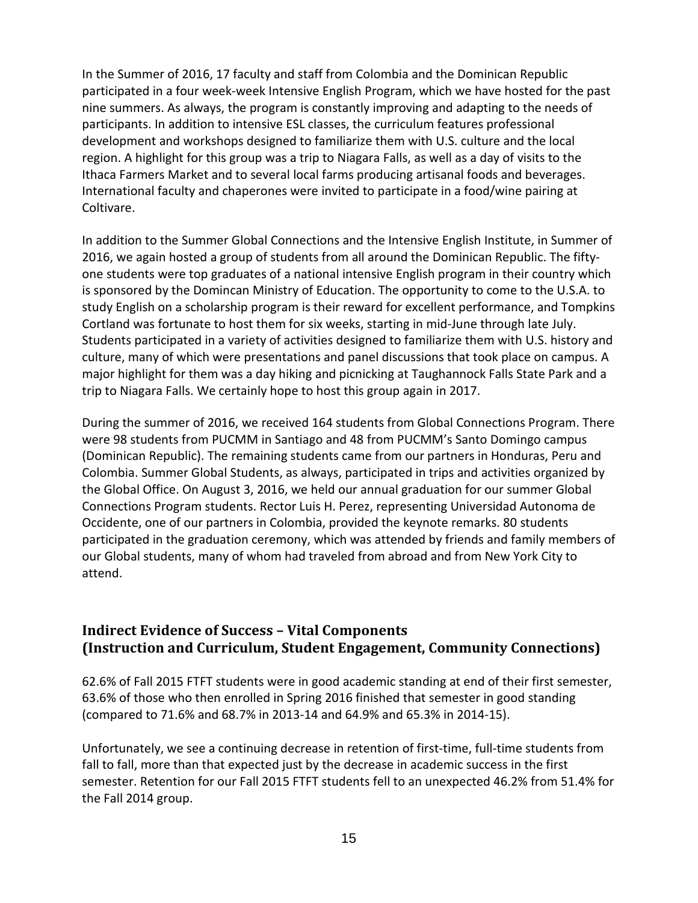In the Summer of 2016, 17 faculty and staff from Colombia and the Dominican Republic participated in a four week-week Intensive English Program, which we have hosted for the past nine summers. As always, the program is constantly improving and adapting to the needs of participants. In addition to intensive ESL classes, the curriculum features professional development and workshops designed to familiarize them with U.S. culture and the local region. A highlight for this group was a trip to Niagara Falls, as well as a day of visits to the Ithaca Farmers Market and to several local farms producing artisanal foods and beverages. International faculty and chaperones were invited to participate in a food/wine pairing at Coltivare.

In addition to the Summer Global Connections and the Intensive English Institute, in Summer of 2016, we again hosted a group of students from all around the Dominican Republic. The fiftyone students were top graduates of a national intensive English program in their country which is sponsored by the Domincan Ministry of Education. The opportunity to come to the U.S.A. to study English on a scholarship program is their reward for excellent performance, and Tompkins Cortland was fortunate to host them for six weeks, starting in mid-June through late July. Students participated in a variety of activities designed to familiarize them with U.S. history and culture, many of which were presentations and panel discussions that took place on campus. A major highlight for them was a day hiking and picnicking at Taughannock Falls State Park and a trip to Niagara Falls. We certainly hope to host this group again in 2017.

During the summer of 2016, we received 164 students from Global Connections Program. There were 98 students from PUCMM in Santiago and 48 from PUCMM's Santo Domingo campus (Dominican Republic). The remaining students came from our partners in Honduras, Peru and Colombia. Summer Global Students, as always, participated in trips and activities organized by the Global Office. On August 3, 2016, we held our annual graduation for our summer Global Connections Program students. Rector Luis H. Perez, representing Universidad Autonoma de Occidente, one of our partners in Colombia, provided the keynote remarks. 80 students participated in the graduation ceremony, which was attended by friends and family members of our Global students, many of whom had traveled from abroad and from New York City to attend.

### **Indirect Evidence of Success – Vital Components (Instruction and Curriculum, Student Engagement, Community Connections)**

62.6% of Fall 2015 FTFT students were in good academic standing at end of their first semester, 63.6% of those who then enrolled in Spring 2016 finished that semester in good standing (compared to 71.6% and 68.7% in 2013-14 and 64.9% and 65.3% in 2014-15).

Unfortunately, we see a continuing decrease in retention of first-time, full-time students from fall to fall, more than that expected just by the decrease in academic success in the first semester. Retention for our Fall 2015 FTFT students fell to an unexpected 46.2% from 51.4% for the Fall 2014 group.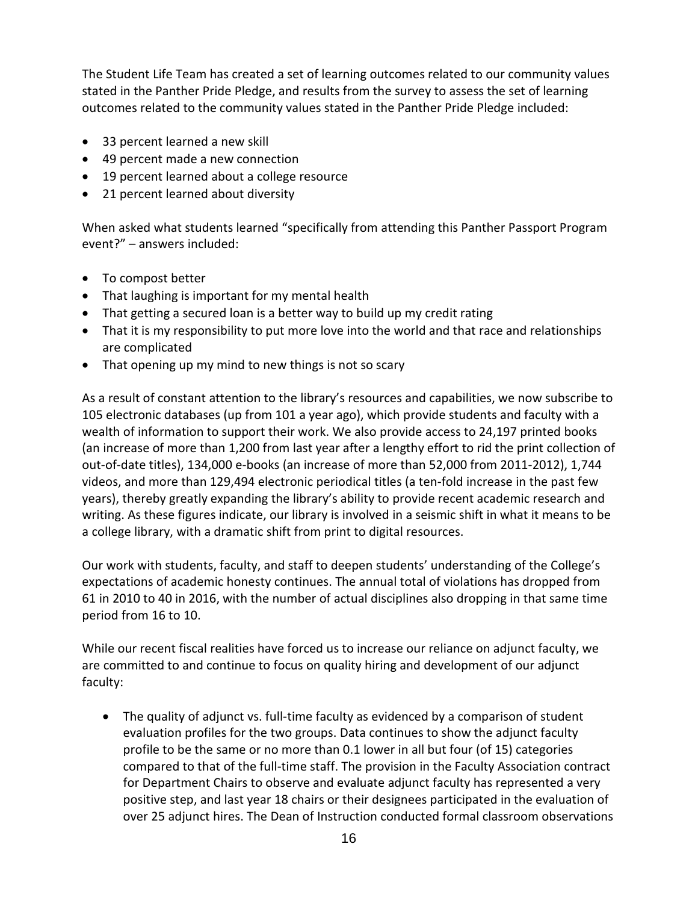The Student Life Team has created a set of learning outcomes related to our community values stated in the Panther Pride Pledge, and results from the survey to assess the set of learning outcomes related to the community values stated in the Panther Pride Pledge included:

- 33 percent learned a new skill
- 49 percent made a new connection
- 19 percent learned about a college resource
- 21 percent learned about diversity

When asked what students learned "specifically from attending this Panther Passport Program event?" – answers included:

- To compost better
- That laughing is important for my mental health
- That getting a secured loan is a better way to build up my credit rating
- That it is my responsibility to put more love into the world and that race and relationships are complicated
- That opening up my mind to new things is not so scary

As a result of constant attention to the library's resources and capabilities, we now subscribe to 105 electronic databases (up from 101 a year ago), which provide students and faculty with a wealth of information to support their work. We also provide access to 24,197 printed books (an increase of more than 1,200 from last year after a lengthy effort to rid the print collection of out-of-date titles), 134,000 e-books (an increase of more than 52,000 from 2011-2012), 1,744 videos, and more than 129,494 electronic periodical titles (a ten-fold increase in the past few years), thereby greatly expanding the library's ability to provide recent academic research and writing. As these figures indicate, our library is involved in a seismic shift in what it means to be a college library, with a dramatic shift from print to digital resources.

Our work with students, faculty, and staff to deepen students' understanding of the College's expectations of academic honesty continues. The annual total of violations has dropped from 61 in 2010 to 40 in 2016, with the number of actual disciplines also dropping in that same time period from 16 to 10.

While our recent fiscal realities have forced us to increase our reliance on adjunct faculty, we are committed to and continue to focus on quality hiring and development of our adjunct faculty:

• The quality of adjunct vs. full-time faculty as evidenced by a comparison of student evaluation profiles for the two groups. Data continues to show the adjunct faculty profile to be the same or no more than 0.1 lower in all but four (of 15) categories compared to that of the full-time staff. The provision in the Faculty Association contract for Department Chairs to observe and evaluate adjunct faculty has represented a very positive step, and last year 18 chairs or their designees participated in the evaluation of over 25 adjunct hires. The Dean of Instruction conducted formal classroom observations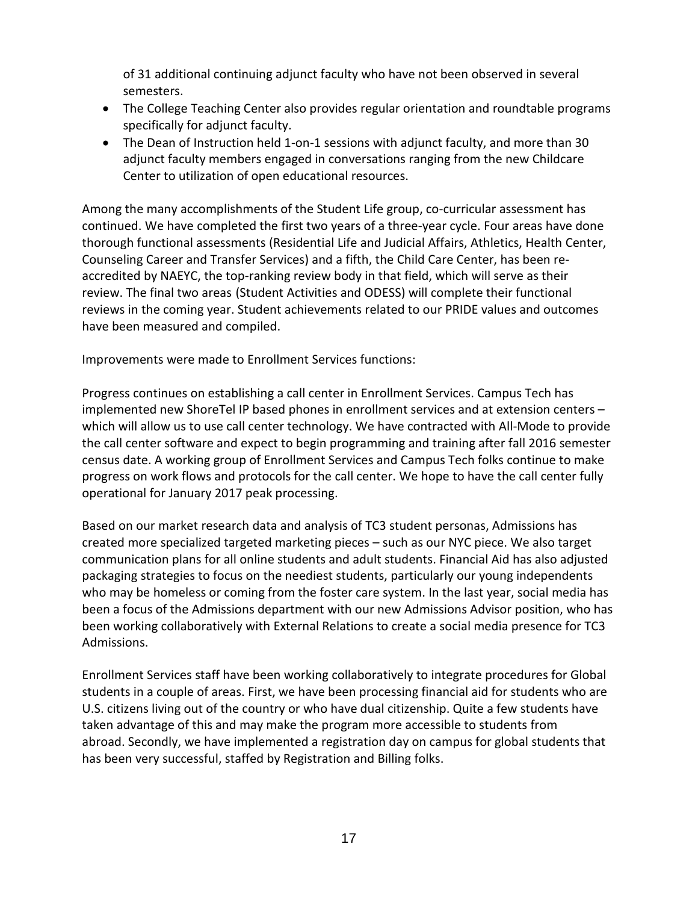of 31 additional continuing adjunct faculty who have not been observed in several semesters.

- The College Teaching Center also provides regular orientation and roundtable programs specifically for adjunct faculty.
- The Dean of Instruction held 1-on-1 sessions with adjunct faculty, and more than 30 adjunct faculty members engaged in conversations ranging from the new Childcare Center to utilization of open educational resources.

Among the many accomplishments of the Student Life group, co-curricular assessment has continued. We have completed the first two years of a three-year cycle. Four areas have done thorough functional assessments (Residential Life and Judicial Affairs, Athletics, Health Center, Counseling Career and Transfer Services) and a fifth, the Child Care Center, has been reaccredited by NAEYC, the top-ranking review body in that field, which will serve as their review. The final two areas (Student Activities and ODESS) will complete their functional reviews in the coming year. Student achievements related to our PRIDE values and outcomes have been measured and compiled.

Improvements were made to Enrollment Services functions:

Progress continues on establishing a call center in Enrollment Services. Campus Tech has implemented new ShoreTel IP based phones in enrollment services and at extension centers – which will allow us to use call center technology. We have contracted with All-Mode to provide the call center software and expect to begin programming and training after fall 2016 semester census date. A working group of Enrollment Services and Campus Tech folks continue to make progress on work flows and protocols for the call center. We hope to have the call center fully operational for January 2017 peak processing.

Based on our market research data and analysis of TC3 student personas, Admissions has created more specialized targeted marketing pieces – such as our NYC piece. We also target communication plans for all online students and adult students. Financial Aid has also adjusted packaging strategies to focus on the neediest students, particularly our young independents who may be homeless or coming from the foster care system. In the last year, social media has been a focus of the Admissions department with our new Admissions Advisor position, who has been working collaboratively with External Relations to create a social media presence for TC3 Admissions.

Enrollment Services staff have been working collaboratively to integrate procedures for Global students in a couple of areas. First, we have been processing financial aid for students who are U.S. citizens living out of the country or who have dual citizenship. Quite a few students have taken advantage of this and may make the program more accessible to students from abroad. Secondly, we have implemented a registration day on campus for global students that has been very successful, staffed by Registration and Billing folks.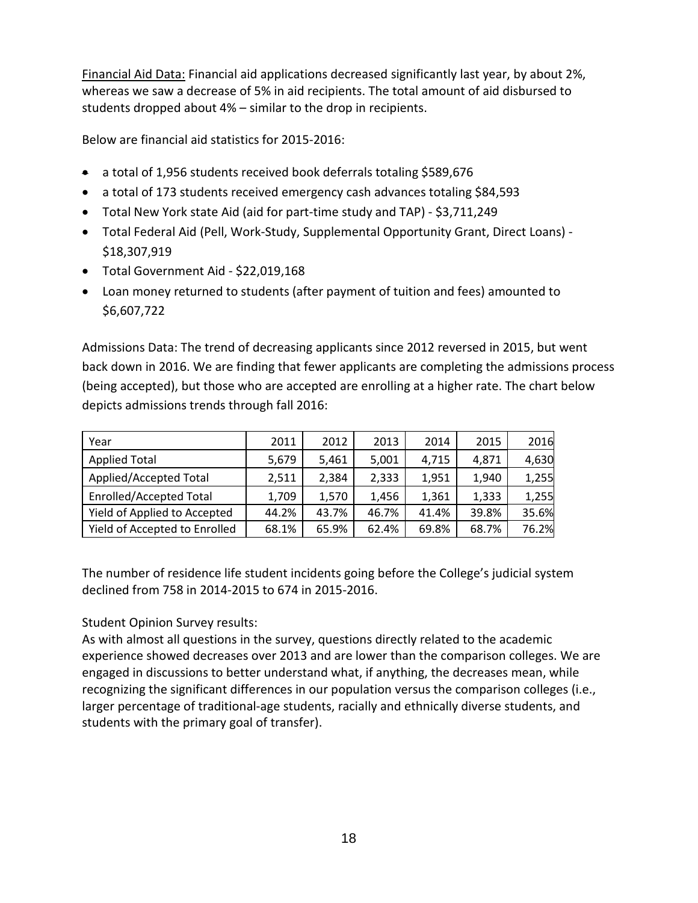Financial Aid Data: Financial aid applications decreased significantly last year, by about 2%, whereas we saw a decrease of 5% in aid recipients. The total amount of aid disbursed to students dropped about 4% – similar to the drop in recipients.

Below are financial aid statistics for 2015-2016:

- a total of 1,956 students received book deferrals totaling \$589,676
- a total of 173 students received emergency cash advances totaling \$84,593
- Total New York state Aid (aid for part-time study and TAP) \$3,711,249
- Total Federal Aid (Pell, Work-Study, Supplemental Opportunity Grant, Direct Loans) \$18,307,919
- Total Government Aid \$22,019,168
- Loan money returned to students (after payment of tuition and fees) amounted to \$6,607,722

Admissions Data: The trend of decreasing applicants since 2012 reversed in 2015, but went back down in 2016. We are finding that fewer applicants are completing the admissions process (being accepted), but those who are accepted are enrolling at a higher rate. The chart below depicts admissions trends through fall 2016:

| Year                           | 2011  | 2012  | 2013  | 2014  | 2015  | 2016  |
|--------------------------------|-------|-------|-------|-------|-------|-------|
| <b>Applied Total</b>           | 5,679 | 5,461 | 5,001 | 4,715 | 4,871 | 4,630 |
| Applied/Accepted Total         | 2,511 | 2,384 | 2,333 | 1,951 | 1,940 | 1,255 |
| <b>Enrolled/Accepted Total</b> | 1,709 | 1,570 | 1,456 | 1,361 | 1,333 | 1,255 |
| Yield of Applied to Accepted   | 44.2% | 43.7% | 46.7% | 41.4% | 39.8% | 35.6% |
| Yield of Accepted to Enrolled  | 68.1% | 65.9% | 62.4% | 69.8% | 68.7% | 76.2% |

The number of residence life student incidents going before the College's judicial system declined from 758 in 2014-2015 to 674 in 2015-2016.

Student Opinion Survey results:

As with almost all questions in the survey, questions directly related to the academic experience showed decreases over 2013 and are lower than the comparison colleges. We are engaged in discussions to better understand what, if anything, the decreases mean, while recognizing the significant differences in our population versus the comparison colleges (i.e., larger percentage of traditional-age students, racially and ethnically diverse students, and students with the primary goal of transfer).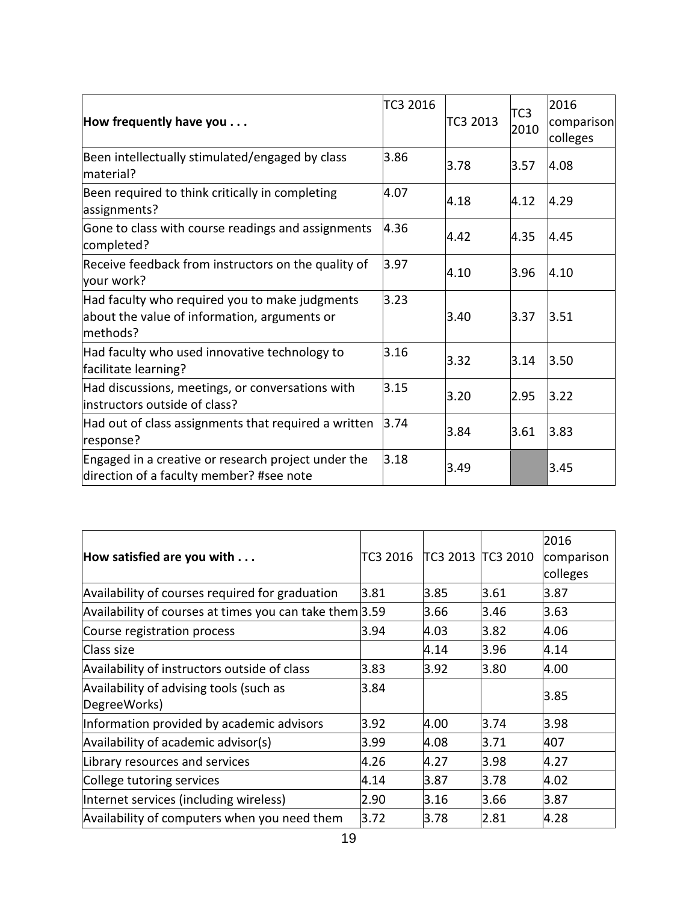|                                                                                                            | TC3 2016 |          | TC <sub>3</sub> | 2016                   |
|------------------------------------------------------------------------------------------------------------|----------|----------|-----------------|------------------------|
| How frequently have you $\dots$                                                                            |          | TC3 2013 | 2010            | comparison<br>colleges |
| Been intellectually stimulated/engaged by class<br>material?                                               | 3.86     | 3.78     | 3.57            | 4.08                   |
| Been required to think critically in completing<br>assignments?                                            | 4.07     | 4.18     | 4.12            | 4.29                   |
| Gone to class with course readings and assignments<br>completed?                                           | 4.36     | 4.42     | 4.35            | 4.45                   |
| Receive feedback from instructors on the quality of<br>your work?                                          | 3.97     | 4.10     | 3.96            | 4.10                   |
| Had faculty who required you to make judgments<br>about the value of information, arguments or<br>methods? | 3.23     | 3.40     | 3.37            | 3.51                   |
| Had faculty who used innovative technology to<br>facilitate learning?                                      | 3.16     | 3.32     | 3.14            | 3.50                   |
| Had discussions, meetings, or conversations with<br>instructors outside of class?                          | 3.15     | 3.20     | 2.95            | 3.22                   |
| Had out of class assignments that required a written<br>response?                                          | 3.74     | 3.84     | 3.61            | 3.83                   |
| Engaged in a creative or research project under the<br>direction of a faculty member? #see note            | 3.18     | 3.49     |                 | 3.45                   |

| How satisfied are you with $\ldots$                     | TC3 2016 | TC3 2013 TC3 2010 |      | 2016<br>comparison<br>colleges |
|---------------------------------------------------------|----------|-------------------|------|--------------------------------|
| Availability of courses required for graduation         | 3.81     | 3.85              | 3.61 | 3.87                           |
| Availability of courses at times you can take them 3.59 |          | 3.66              | 3.46 | 3.63                           |
| Course registration process                             | 3.94     | 4.03              | 3.82 | 4.06                           |
| Class size                                              |          | 4.14              | 3.96 | 4.14                           |
| Availability of instructors outside of class            | 3.83     | 3.92              | 3.80 | 4.00                           |
| Availability of advising tools (such as<br>DegreeWorks) | 3.84     |                   |      | 3.85                           |
| Information provided by academic advisors               | 3.92     | 4.00              | 3.74 | 3.98                           |
| Availability of academic advisor(s)                     | 3.99     | 4.08              | 3.71 | 407                            |
| Library resources and services                          | 4.26     | 4.27              | 3.98 | 4.27                           |
| College tutoring services                               | 4.14     | 3.87              | 3.78 | 4.02                           |
| Internet services (including wireless)                  | 2.90     | 3.16              | 3.66 | 3.87                           |
| Availability of computers when you need them            | 3.72     | 3.78              | 2.81 | 4.28                           |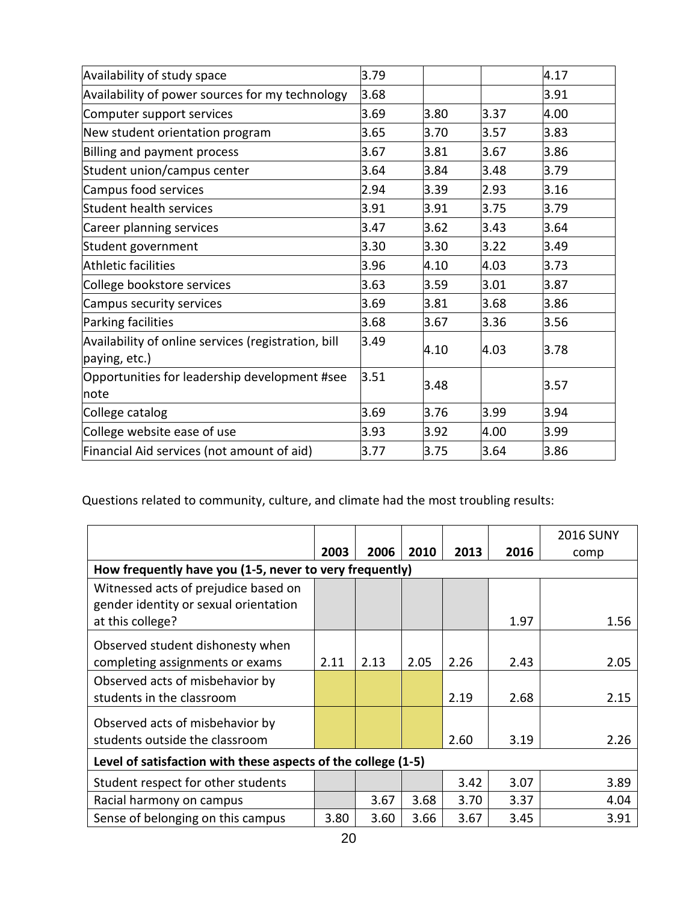| Availability of study space                                          | 3.79 |      |      | 4.17 |
|----------------------------------------------------------------------|------|------|------|------|
| Availability of power sources for my technology                      | 3.68 |      |      | 3.91 |
| Computer support services                                            | 3.69 | 3.80 | 3.37 | 4.00 |
| New student orientation program                                      | 3.65 | 3.70 | 3.57 | 3.83 |
| Billing and payment process                                          | 3.67 | 3.81 | 3.67 | 3.86 |
| Student union/campus center                                          | 3.64 | 3.84 | 3.48 | 3.79 |
| Campus food services                                                 | 2.94 | 3.39 | 2.93 | 3.16 |
| <b>Student health services</b>                                       | 3.91 | 3.91 | 3.75 | 3.79 |
| Career planning services                                             | 3.47 | 3.62 | 3.43 | 3.64 |
| Student government                                                   | 3.30 | 3.30 | 3.22 | 3.49 |
| <b>Athletic facilities</b>                                           | 3.96 | 4.10 | 4.03 | 3.73 |
| College bookstore services                                           | 3.63 | 3.59 | 3.01 | 3.87 |
| Campus security services                                             | 3.69 | 3.81 | 3.68 | 3.86 |
| Parking facilities                                                   | 3.68 | 3.67 | 3.36 | 3.56 |
| Availability of online services (registration, bill<br>paying, etc.) | 3.49 | 4.10 | 4.03 | 3.78 |
| Opportunities for leadership development #see<br>note                | 3.51 | 3.48 |      | 3.57 |
| College catalog                                                      | 3.69 | 3.76 | 3.99 | 3.94 |
| College website ease of use                                          | 3.93 | 3.92 | 4.00 | 3.99 |
| Financial Aid services (not amount of aid)                           | 3.77 | 3.75 | 3.64 | 3.86 |

Questions related to community, culture, and climate had the most troubling results:

|                                                                               |      |      |      |      |      | <b>2016 SUNY</b> |  |  |
|-------------------------------------------------------------------------------|------|------|------|------|------|------------------|--|--|
|                                                                               | 2003 | 2006 | 2010 | 2013 | 2016 | comp             |  |  |
| How frequently have you (1-5, never to very frequently)                       |      |      |      |      |      |                  |  |  |
| Witnessed acts of prejudice based on<br>gender identity or sexual orientation |      |      |      |      |      |                  |  |  |
| at this college?                                                              |      |      |      |      | 1.97 | 1.56             |  |  |
| Observed student dishonesty when                                              |      |      |      |      |      |                  |  |  |
| completing assignments or exams                                               | 2.11 | 2.13 | 2.05 | 2.26 | 2.43 | 2.05             |  |  |
| Observed acts of misbehavior by                                               |      |      |      |      |      |                  |  |  |
| students in the classroom                                                     |      |      |      | 2.19 | 2.68 | 2.15             |  |  |
| Observed acts of misbehavior by                                               |      |      |      |      |      |                  |  |  |
| students outside the classroom                                                |      |      |      | 2.60 | 3.19 | 2.26             |  |  |
| Level of satisfaction with these aspects of the college (1-5)                 |      |      |      |      |      |                  |  |  |
| Student respect for other students                                            |      |      |      | 3.42 | 3.07 | 3.89             |  |  |
| Racial harmony on campus                                                      |      | 3.67 | 3.68 | 3.70 | 3.37 | 4.04             |  |  |
| Sense of belonging on this campus                                             | 3.80 | 3.60 | 3.66 | 3.67 | 3.45 | 3.91             |  |  |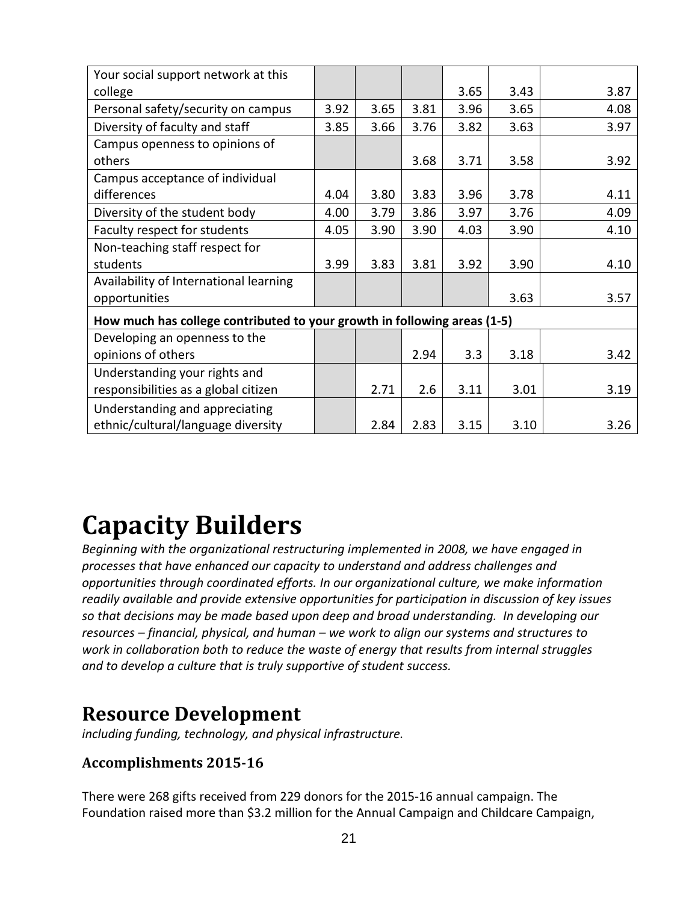| Your social support network at this                                      |      |      |      |      |      |      |
|--------------------------------------------------------------------------|------|------|------|------|------|------|
| college                                                                  |      |      |      | 3.65 | 3.43 | 3.87 |
| Personal safety/security on campus                                       | 3.92 | 3.65 | 3.81 | 3.96 | 3.65 | 4.08 |
| Diversity of faculty and staff                                           | 3.85 | 3.66 | 3.76 | 3.82 | 3.63 | 3.97 |
| Campus openness to opinions of                                           |      |      |      |      |      |      |
| others                                                                   |      |      | 3.68 | 3.71 | 3.58 | 3.92 |
| Campus acceptance of individual                                          |      |      |      |      |      |      |
| differences                                                              | 4.04 | 3.80 | 3.83 | 3.96 | 3.78 | 4.11 |
| Diversity of the student body                                            | 4.00 | 3.79 | 3.86 | 3.97 | 3.76 | 4.09 |
| Faculty respect for students                                             | 4.05 | 3.90 | 3.90 | 4.03 | 3.90 | 4.10 |
| Non-teaching staff respect for                                           |      |      |      |      |      |      |
| students                                                                 | 3.99 | 3.83 | 3.81 | 3.92 | 3.90 | 4.10 |
| Availability of International learning                                   |      |      |      |      |      |      |
| opportunities                                                            |      |      |      |      | 3.63 | 3.57 |
| How much has college contributed to your growth in following areas (1-5) |      |      |      |      |      |      |
| Developing an openness to the                                            |      |      |      |      |      |      |
| opinions of others                                                       |      |      | 2.94 | 3.3  | 3.18 | 3.42 |
| Understanding your rights and                                            |      |      |      |      |      |      |
| responsibilities as a global citizen                                     |      | 2.71 | 2.6  | 3.11 | 3.01 | 3.19 |
| Understanding and appreciating                                           |      |      |      |      |      |      |
| ethnic/cultural/language diversity                                       |      | 2.84 | 2.83 | 3.15 | 3.10 | 3.26 |

# **Capacity Builders**

*Beginning with the organizational restructuring implemented in 2008, we have engaged in processes that have enhanced our capacity to understand and address challenges and opportunities through coordinated efforts. In our organizational culture, we make information readily available and provide extensive opportunities for participation in discussion of key issues so that decisions may be made based upon deep and broad understanding. In developing our resources – financial, physical, and human – we work to align our systems and structures to work in collaboration both to reduce the waste of energy that results from internal struggles and to develop a culture that is truly supportive of student success.*

## **Resource Development**

*including funding, technology, and physical infrastructure.* 

## **Accomplishments 2015-16**

There were 268 gifts received from 229 donors for the 2015-16 annual campaign. The Foundation raised more than \$3.2 million for the Annual Campaign and Childcare Campaign,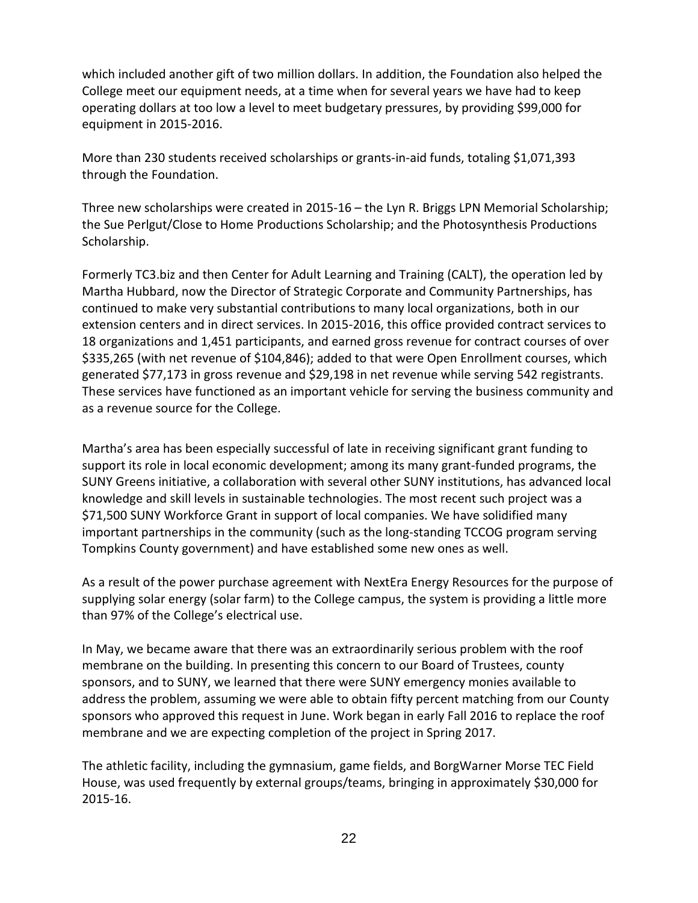which included another gift of two million dollars. In addition, the Foundation also helped the College meet our equipment needs, at a time when for several years we have had to keep operating dollars at too low a level to meet budgetary pressures, by providing \$99,000 for equipment in 2015-2016.

More than 230 students received scholarships or grants-in-aid funds, totaling \$1,071,393 through the Foundation.

Three new scholarships were created in 2015-16 – the Lyn R. Briggs LPN Memorial Scholarship; the Sue Perlgut/Close to Home Productions Scholarship; and the Photosynthesis Productions Scholarship.

Formerly TC3.biz and then Center for Adult Learning and Training (CALT), the operation led by Martha Hubbard, now the Director of Strategic Corporate and Community Partnerships, has continued to make very substantial contributions to many local organizations, both in our extension centers and in direct services. In 2015-2016, this office provided contract services to 18 organizations and 1,451 participants, and earned gross revenue for contract courses of over \$335,265 (with net revenue of \$104,846); added to that were Open Enrollment courses, which generated \$77,173 in gross revenue and \$29,198 in net revenue while serving 542 registrants. These services have functioned as an important vehicle for serving the business community and as a revenue source for the College.

Martha's area has been especially successful of late in receiving significant grant funding to support its role in local economic development; among its many grant-funded programs, the SUNY Greens initiative, a collaboration with several other SUNY institutions, has advanced local knowledge and skill levels in sustainable technologies. The most recent such project was a \$71,500 SUNY Workforce Grant in support of local companies. We have solidified many important partnerships in the community (such as the long-standing TCCOG program serving Tompkins County government) and have established some new ones as well.

As a result of the power purchase agreement with NextEra Energy Resources for the purpose of supplying solar energy (solar farm) to the College campus, the system is providing a little more than 97% of the College's electrical use.

In May, we became aware that there was an extraordinarily serious problem with the roof membrane on the building. In presenting this concern to our Board of Trustees, county sponsors, and to SUNY, we learned that there were SUNY emergency monies available to address the problem, assuming we were able to obtain fifty percent matching from our County sponsors who approved this request in June. Work began in early Fall 2016 to replace the roof membrane and we are expecting completion of the project in Spring 2017.

The athletic facility, including the gymnasium, game fields, and BorgWarner Morse TEC Field House, was used frequently by external groups/teams, bringing in approximately \$30,000 for 2015-16.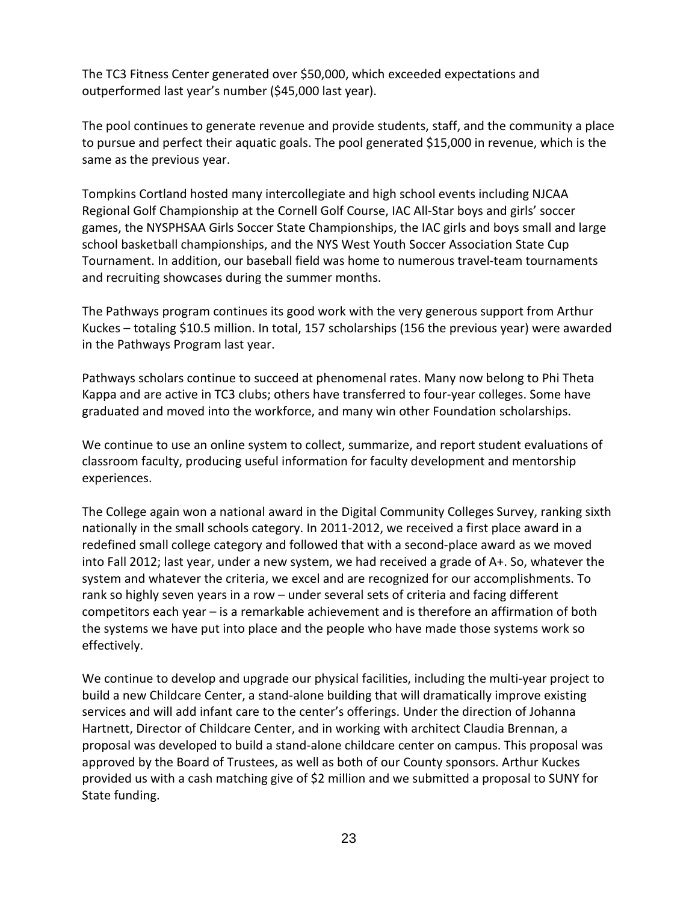The TC3 Fitness Center generated over \$50,000, which exceeded expectations and outperformed last year's number (\$45,000 last year).

The pool continues to generate revenue and provide students, staff, and the community a place to pursue and perfect their aquatic goals. The pool generated \$15,000 in revenue, which is the same as the previous year.

Tompkins Cortland hosted many intercollegiate and high school events including NJCAA Regional Golf Championship at the Cornell Golf Course, IAC All-Star boys and girls' soccer games, the NYSPHSAA Girls Soccer State Championships, the IAC girls and boys small and large school basketball championships, and the NYS West Youth Soccer Association State Cup Tournament. In addition, our baseball field was home to numerous travel-team tournaments and recruiting showcases during the summer months.

The Pathways program continues its good work with the very generous support from Arthur Kuckes – totaling \$10.5 million. In total, 157 scholarships (156 the previous year) were awarded in the Pathways Program last year.

Pathways scholars continue to succeed at phenomenal rates. Many now belong to Phi Theta Kappa and are active in TC3 clubs; others have transferred to four-year colleges. Some have graduated and moved into the workforce, and many win other Foundation scholarships.

We continue to use an online system to collect, summarize, and report student evaluations of classroom faculty, producing useful information for faculty development and mentorship experiences.

The College again won a national award in the Digital Community Colleges Survey, ranking sixth nationally in the small schools category. In 2011-2012, we received a first place award in a redefined small college category and followed that with a second-place award as we moved into Fall 2012; last year, under a new system, we had received a grade of A+. So, whatever the system and whatever the criteria, we excel and are recognized for our accomplishments. To rank so highly seven years in a row – under several sets of criteria and facing different competitors each year – is a remarkable achievement and is therefore an affirmation of both the systems we have put into place and the people who have made those systems work so effectively.

We continue to develop and upgrade our physical facilities, including the multi-year project to build a new Childcare Center, a stand-alone building that will dramatically improve existing services and will add infant care to the center's offerings. Under the direction of Johanna Hartnett, Director of Childcare Center, and in working with architect Claudia Brennan, a proposal was developed to build a stand-alone childcare center on campus. This proposal was approved by the Board of Trustees, as well as both of our County sponsors. Arthur Kuckes provided us with a cash matching give of \$2 million and we submitted a proposal to SUNY for State funding.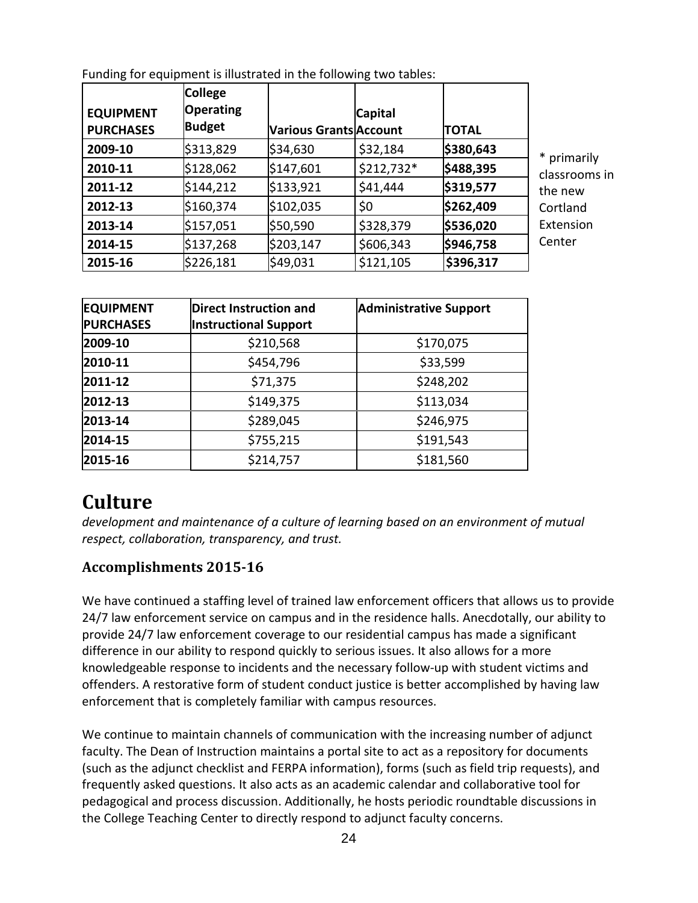| <b>EQUIPMENT</b><br><b>PURCHASES</b> | <b>College</b><br><b>Operating</b><br><b>Budget</b> | <b>Various Grants Account</b> | <b>Capital</b> | <b>TOTAL</b> |               |
|--------------------------------------|-----------------------------------------------------|-------------------------------|----------------|--------------|---------------|
| 2009-10                              | \$313,829                                           | \$34,630                      | \$32,184       | \$380,643    | * primarily   |
| 2010-11                              | \$128,062                                           | \$147,601                     | \$212,732*     | \$488,395    | classrooms in |
| 2011-12                              | \$144,212                                           | \$133,921                     | \$41,444       | \$319,577    | the new       |
| 2012-13                              | \$160,374                                           | \$102,035                     | \$0            | \$262,409    | Cortland      |
| 2013-14                              | \$157,051                                           | \$50,590                      | \$328,379      | \$536,020    | Extension     |
| 2014-15                              | \$137,268                                           | \$203,147                     | \$606,343      | \$946,758    | Center        |
| 2015-16                              | \$226,181                                           | \$49,031                      | \$121,105      | \$396,317    |               |

Funding for equipment is illustrated in the following two tables:

| <b>EQUIPMENT</b><br>Direct Instruction and |                              | <b>Administrative Support</b> |
|--------------------------------------------|------------------------------|-------------------------------|
| <b>PURCHASES</b>                           | <b>Instructional Support</b> |                               |
| 2009-10                                    | \$210,568                    | \$170,075                     |
| 2010-11                                    | \$454,796                    | \$33,599                      |
| 2011-12                                    | \$71,375                     | \$248,202                     |
| 2012-13                                    | \$149,375                    | \$113,034                     |
| 2013-14                                    | \$289,045                    | \$246,975                     |
| 2014-15                                    | \$755,215                    | \$191,543                     |
| 2015-16                                    | \$214,757                    | \$181,560                     |

## **Culture**

*development and maintenance of a culture of learning based on an environment of mutual respect, collaboration, transparency, and trust.* 

## **Accomplishments 2015-16**

We have continued a staffing level of trained law enforcement officers that allows us to provide 24/7 law enforcement service on campus and in the residence halls. Anecdotally, our ability to provide 24/7 law enforcement coverage to our residential campus has made a significant difference in our ability to respond quickly to serious issues. It also allows for a more knowledgeable response to incidents and the necessary follow-up with student victims and offenders. A restorative form of student conduct justice is better accomplished by having law enforcement that is completely familiar with campus resources.

We continue to maintain channels of communication with the increasing number of adjunct faculty. The Dean of Instruction maintains a portal site to act as a repository for documents (such as the adjunct checklist and FERPA information), forms (such as field trip requests), and frequently asked questions. It also acts as an academic calendar and collaborative tool for pedagogical and process discussion. Additionally, he hosts periodic roundtable discussions in the College Teaching Center to directly respond to adjunct faculty concerns.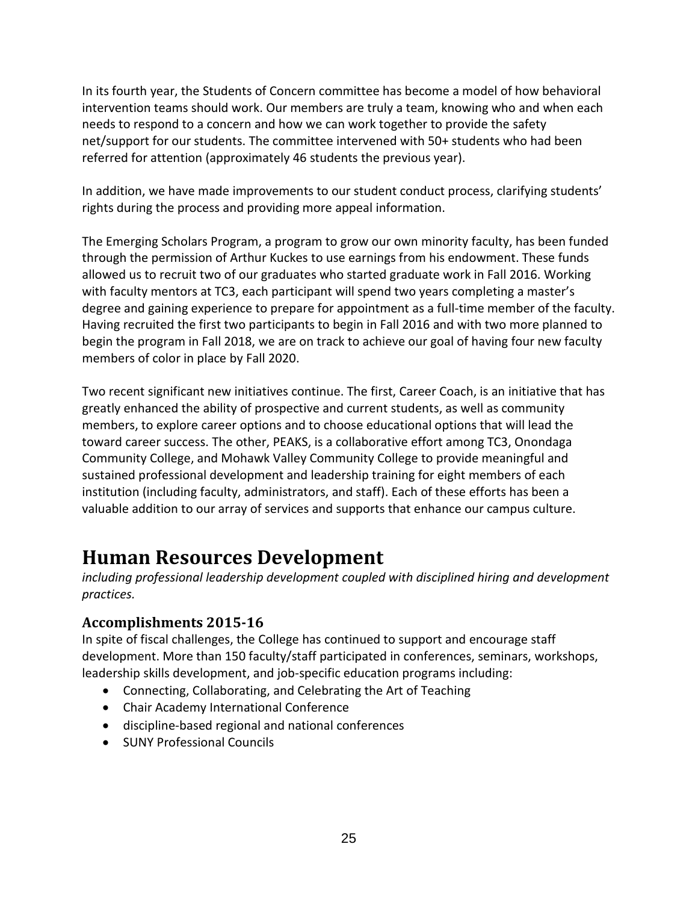In its fourth year, the Students of Concern committee has become a model of how behavioral intervention teams should work. Our members are truly a team, knowing who and when each needs to respond to a concern and how we can work together to provide the safety net/support for our students. The committee intervened with 50+ students who had been referred for attention (approximately 46 students the previous year).

In addition, we have made improvements to our student conduct process, clarifying students' rights during the process and providing more appeal information.

The Emerging Scholars Program, a program to grow our own minority faculty, has been funded through the permission of Arthur Kuckes to use earnings from his endowment. These funds allowed us to recruit two of our graduates who started graduate work in Fall 2016. Working with faculty mentors at TC3, each participant will spend two years completing a master's degree and gaining experience to prepare for appointment as a full-time member of the faculty. Having recruited the first two participants to begin in Fall 2016 and with two more planned to begin the program in Fall 2018, we are on track to achieve our goal of having four new faculty members of color in place by Fall 2020.

Two recent significant new initiatives continue. The first, Career Coach, is an initiative that has greatly enhanced the ability of prospective and current students, as well as community members, to explore career options and to choose educational options that will lead the toward career success. The other, PEAKS, is a collaborative effort among TC3, Onondaga Community College, and Mohawk Valley Community College to provide meaningful and sustained professional development and leadership training for eight members of each institution (including faculty, administrators, and staff). Each of these efforts has been a valuable addition to our array of services and supports that enhance our campus culture.

## **Human Resources Development**

*including professional leadership development coupled with disciplined hiring and development practices.* 

## **Accomplishments 2015-16**

In spite of fiscal challenges, the College has continued to support and encourage staff development. More than 150 faculty/staff participated in conferences, seminars, workshops, leadership skills development, and job-specific education programs including:

- Connecting, Collaborating, and Celebrating the Art of Teaching
- Chair Academy International Conference
- discipline-based regional and national conferences
- SUNY Professional Councils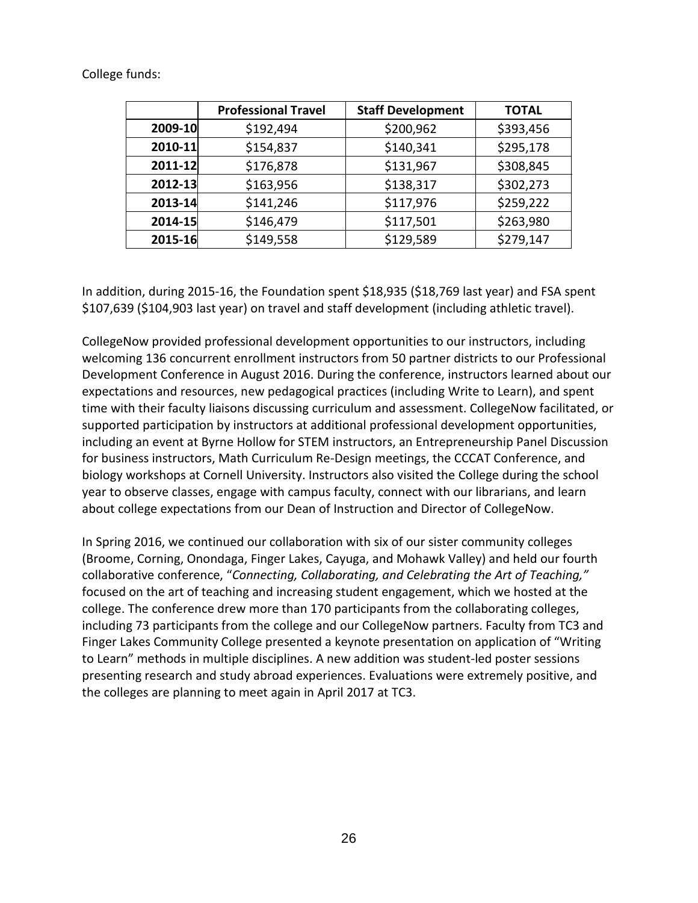#### College funds:

|         | <b>Professional Travel</b> | <b>Staff Development</b> | <b>TOTAL</b> |
|---------|----------------------------|--------------------------|--------------|
| 2009-10 | \$192,494                  | \$200,962                | \$393,456    |
| 2010-11 | \$154,837                  | \$140,341                | \$295,178    |
| 2011-12 | \$176,878                  | \$131,967                | \$308,845    |
| 2012-13 | \$163,956                  | \$138,317                | \$302,273    |
| 2013-14 | \$141,246                  | \$117,976                | \$259,222    |
| 2014-15 | \$146,479                  | \$117,501                | \$263,980    |
| 2015-16 | \$149,558                  | \$129,589                | \$279,147    |

In addition, during 2015-16, the Foundation spent \$18,935 (\$18,769 last year) and FSA spent \$107,639 (\$104,903 last year) on travel and staff development (including athletic travel).

CollegeNow provided professional development opportunities to our instructors, including welcoming 136 concurrent enrollment instructors from 50 partner districts to our Professional Development Conference in August 2016. During the conference, instructors learned about our expectations and resources, new pedagogical practices (including Write to Learn), and spent time with their faculty liaisons discussing curriculum and assessment. CollegeNow facilitated, or supported participation by instructors at additional professional development opportunities, including an event at Byrne Hollow for STEM instructors, an Entrepreneurship Panel Discussion for business instructors, Math Curriculum Re-Design meetings, the CCCAT Conference, and biology workshops at Cornell University. Instructors also visited the College during the school year to observe classes, engage with campus faculty, connect with our librarians, and learn about college expectations from our Dean of Instruction and Director of CollegeNow.

In Spring 2016, we continued our collaboration with six of our sister community colleges (Broome, Corning, Onondaga, Finger Lakes, Cayuga, and Mohawk Valley) and held our fourth collaborative conference, "*Connecting, Collaborating, and Celebrating the Art of Teaching,"* focused on the art of teaching and increasing student engagement, which we hosted at the college. The conference drew more than 170 participants from the collaborating colleges, including 73 participants from the college and our CollegeNow partners. Faculty from TC3 and Finger Lakes Community College presented a keynote presentation on application of "Writing to Learn" methods in multiple disciplines. A new addition was student-led poster sessions presenting research and study abroad experiences. Evaluations were extremely positive, and the colleges are planning to meet again in April 2017 at TC3.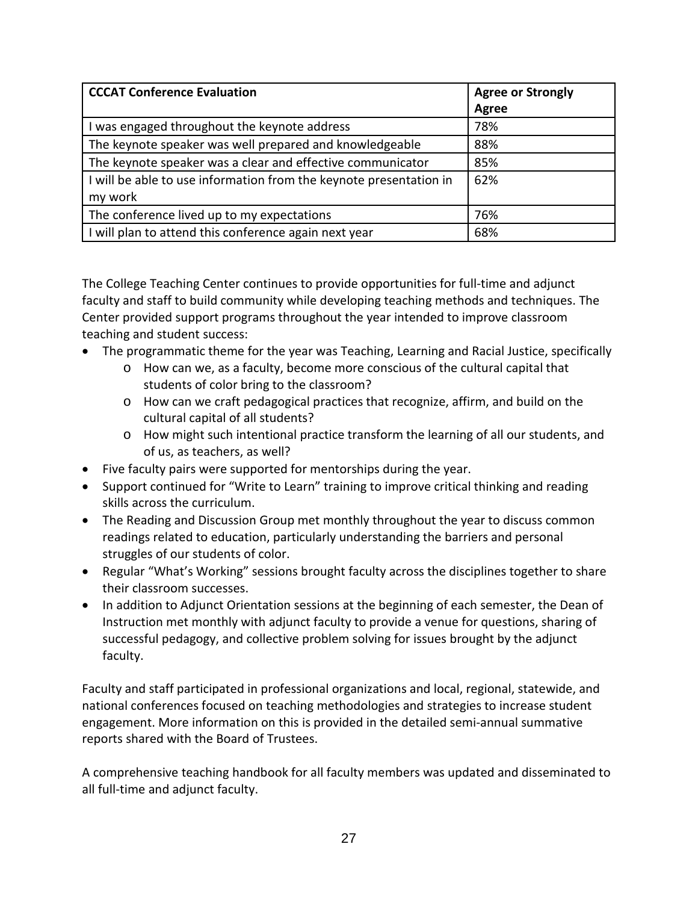| <b>CCCAT Conference Evaluation</b>                                 | <b>Agree or Strongly</b> |
|--------------------------------------------------------------------|--------------------------|
|                                                                    | Agree                    |
| was engaged throughout the keynote address                         | 78%                      |
| The keynote speaker was well prepared and knowledgeable            | 88%                      |
| The keynote speaker was a clear and effective communicator         | 85%                      |
| I will be able to use information from the keynote presentation in | 62%                      |
| my work                                                            |                          |
| The conference lived up to my expectations                         | 76%                      |
| I will plan to attend this conference again next year              | 68%                      |

The College Teaching Center continues to provide opportunities for full-time and adjunct faculty and staff to build community while developing teaching methods and techniques. The Center provided support programs throughout the year intended to improve classroom teaching and student success:

- The programmatic theme for the year was Teaching, Learning and Racial Justice, specifically
	- o How can we, as a faculty, become more conscious of the cultural capital that students of color bring to the classroom?
	- o How can we craft pedagogical practices that recognize, affirm, and build on the cultural capital of all students?
	- o How might such intentional practice transform the learning of all our students, and of us, as teachers, as well?
- Five faculty pairs were supported for mentorships during the year.
- Support continued for "Write to Learn" training to improve critical thinking and reading skills across the curriculum.
- The Reading and Discussion Group met monthly throughout the year to discuss common readings related to education, particularly understanding the barriers and personal struggles of our students of color.
- Regular "What's Working" sessions brought faculty across the disciplines together to share their classroom successes.
- In addition to Adjunct Orientation sessions at the beginning of each semester, the Dean of Instruction met monthly with adjunct faculty to provide a venue for questions, sharing of successful pedagogy, and collective problem solving for issues brought by the adjunct faculty.

Faculty and staff participated in professional organizations and local, regional, statewide, and national conferences focused on teaching methodologies and strategies to increase student engagement. More information on this is provided in the detailed semi-annual summative reports shared with the Board of Trustees.

A comprehensive teaching handbook for all faculty members was updated and disseminated to all full-time and adjunct faculty.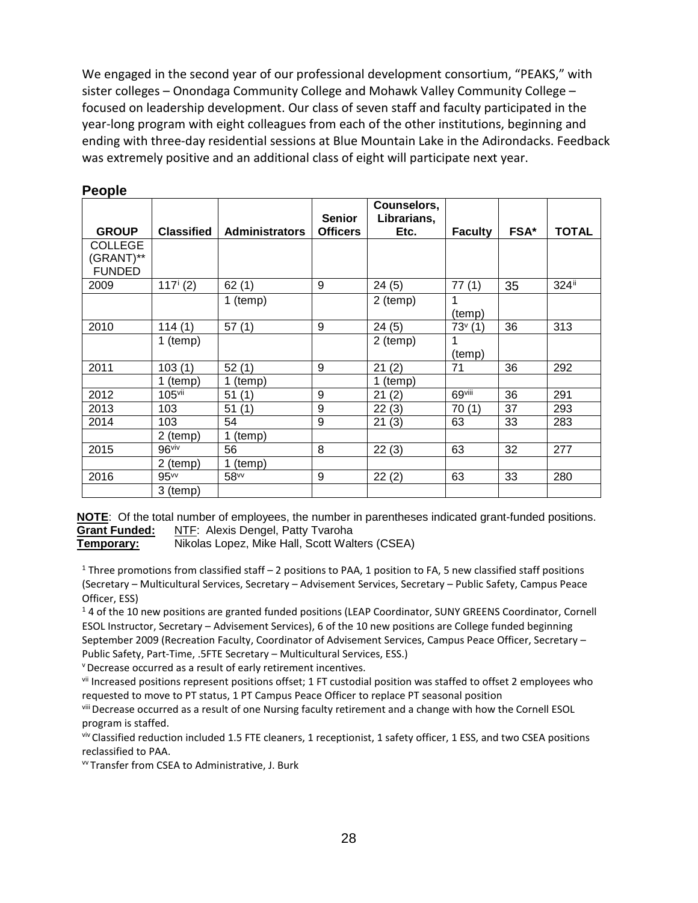We engaged in the second year of our professional development consortium, "PEAKS," with sister colleges – Onondaga Community College and Mohawk Valley Community College – focused on leadership development. Our class of seven staff and faculty participated in the year-long program with eight colleagues from each of the other institutions, beginning and ending with three-day residential sessions at Blue Mountain Lake in the Adirondacks. Feedback was extremely positive and an additional class of eight will participate next year.

|                                              |                        |                       | <b>Senior</b>   | Counselors,<br>Librarians, |                |      |              |
|----------------------------------------------|------------------------|-----------------------|-----------------|----------------------------|----------------|------|--------------|
| <b>GROUP</b>                                 | <b>Classified</b>      | <b>Administrators</b> | <b>Officers</b> | Etc.                       | <b>Faculty</b> | FSA* | <b>TOTAL</b> |
| <b>COLLEGE</b><br>(GRANT)**<br><b>FUNDED</b> |                        |                       |                 |                            |                |      |              |
| 2009                                         | $117^{\mathrm{i}}$ (2) | 62(1)                 | 9               | 24(5)                      | 77(1)          | 35   | 324ii        |
|                                              |                        | 1 (temp)              |                 | 2 (temp)                   | 1<br>(temp)    |      |              |
| 2010                                         | 114(1)                 | 57(1)                 | 9               | 24(5)                      | $73^{v}$ (1)   | 36   | 313          |
|                                              | 1 (temp)               |                       |                 | 2 (temp)                   | (temp)         |      |              |
| 2011                                         | 103(1)                 | 52(1)                 | 9               | 21(2)                      | 71             | 36   | 292          |
|                                              | 1 (temp)               | 1 (temp)              |                 | 1 (temp)                   |                |      |              |
| 2012                                         | $105$ <sup>vii</sup>   | 51(1)                 | 9               | 21<br>(2)                  | 69viii         | 36   | 291          |
| 2013                                         | 103                    | 51(1)                 | 9               | 22(3)                      | 70(1)          | 37   | 293          |
| 2014                                         | 103                    | 54                    | 9               | 21(3)                      | 63             | 33   | 283          |
|                                              | 2 (temp)               | 1 (temp)              |                 |                            |                |      |              |
| 2015                                         | 96viv                  | 56                    | 8               | 22(3)                      | 63             | 32   | 277          |
|                                              | 2 (temp)               | 1 (temp)              |                 |                            |                |      |              |
| 2016                                         | 95 <sub>w</sub>        | 58vv                  | 9               | 22(2)                      | 63             | 33   | 280          |
|                                              | 3 (temp)               |                       |                 |                            |                |      |              |

#### **People**

**NOTE:** Of the total number of employees, the number in parentheses indicated grant-funded positions.<br>**Grant Funded:** NTF: Alexis Dengel, Patty Tvaroha **NTF: Alexis Dengel, Patty Tvaroha** 

**Temporary:** Nikolas Lopez, Mike Hall, Scott Walters (CSEA)

<sup>1</sup> Three promotions from classified staff – 2 positions to PAA, 1 position to FA, 5 new classified staff positions (Secretary – Multicultural Services, Secretary – Advisement Services, Secretary – Public Safety, Campus Peace Officer, ESS)

<sup>1</sup> 4 of the 10 new positions are granted funded positions (LEAP Coordinator, SUNY GREENS Coordinator, Cornell ESOL Instructor, Secretary – Advisement Services), 6 of the 10 new positions are College funded beginning September 2009 (Recreation Faculty, Coordinator of Advisement Services, Campus Peace Officer, Secretary – Public Safety, Part-Time, .5FTE Secretary – Multicultural Services, ESS.)

v Decrease occurred as a result of early retirement incentives.

vii Increased positions represent positions offset; 1 FT custodial position was staffed to offset 2 employees who requested to move to PT status, 1 PT Campus Peace Officer to replace PT seasonal position

viii Decrease occurred as a result of one Nursing faculty retirement and a change with how the Cornell ESOL program is staffed.

viv Classified reduction included 1.5 FTE cleaners, 1 receptionist, 1 safety officer, 1 ESS, and two CSEA positions reclassified to PAA.

vv Transfer from CSEA to Administrative, J. Burk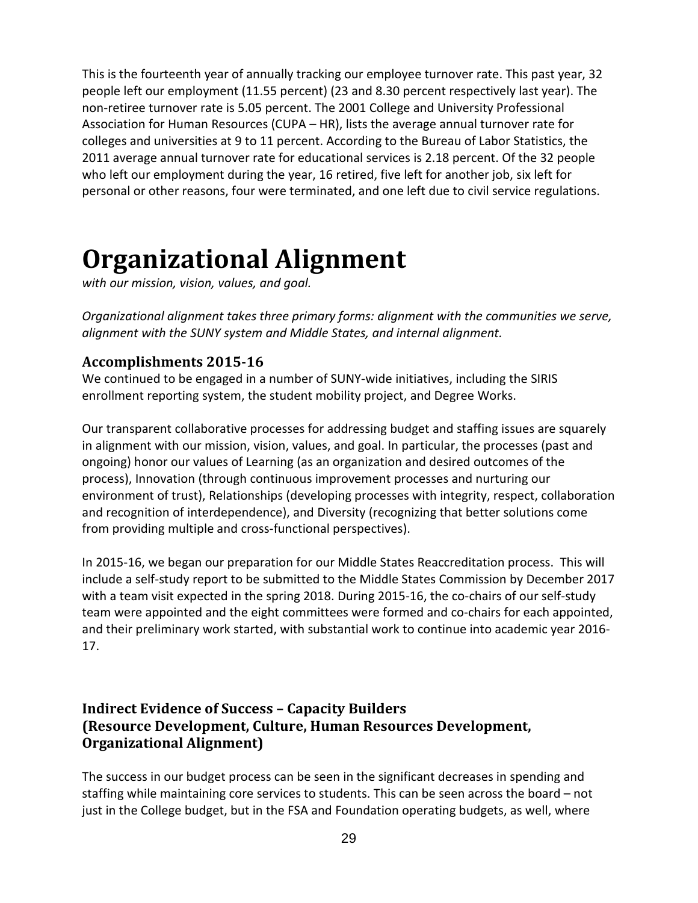This is the fourteenth year of annually tracking our employee turnover rate. This past year, 32 people left our employment (11.55 percent) (23 and 8.30 percent respectively last year). The non-retiree turnover rate is 5.05 percent. The 2001 College and University Professional Association for Human Resources (CUPA – HR), lists the average annual turnover rate for colleges and universities at 9 to 11 percent. According to the Bureau of Labor Statistics, the 2011 average annual turnover rate for educational services is 2.18 percent. Of the 32 people who left our employment during the year, 16 retired, five left for another job, six left for personal or other reasons, four were terminated, and one left due to civil service regulations.

# **Organizational Alignment**

*with our mission, vision, values, and goal.*

*Organizational alignment takes three primary forms: alignment with the communities we serve, alignment with the SUNY system and Middle States, and internal alignment.*

## **Accomplishments 2015-16**

We continued to be engaged in a number of SUNY-wide initiatives, including the SIRIS enrollment reporting system, the student mobility project, and Degree Works.

Our transparent collaborative processes for addressing budget and staffing issues are squarely in alignment with our mission, vision, values, and goal. In particular, the processes (past and ongoing) honor our values of Learning (as an organization and desired outcomes of the process), Innovation (through continuous improvement processes and nurturing our environment of trust), Relationships (developing processes with integrity, respect, collaboration and recognition of interdependence), and Diversity (recognizing that better solutions come from providing multiple and cross-functional perspectives).

In 2015-16, we began our preparation for our Middle States Reaccreditation process. This will include a self-study report to be submitted to the Middle States Commission by December 2017 with a team visit expected in the spring 2018. During 2015-16, the co-chairs of our self-study team were appointed and the eight committees were formed and co-chairs for each appointed, and their preliminary work started, with substantial work to continue into academic year 2016- 17.

## **Indirect Evidence of Success – Capacity Builders (Resource Development, Culture, Human Resources Development, Organizational Alignment)**

The success in our budget process can be seen in the significant decreases in spending and staffing while maintaining core services to students. This can be seen across the board – not just in the College budget, but in the FSA and Foundation operating budgets, as well, where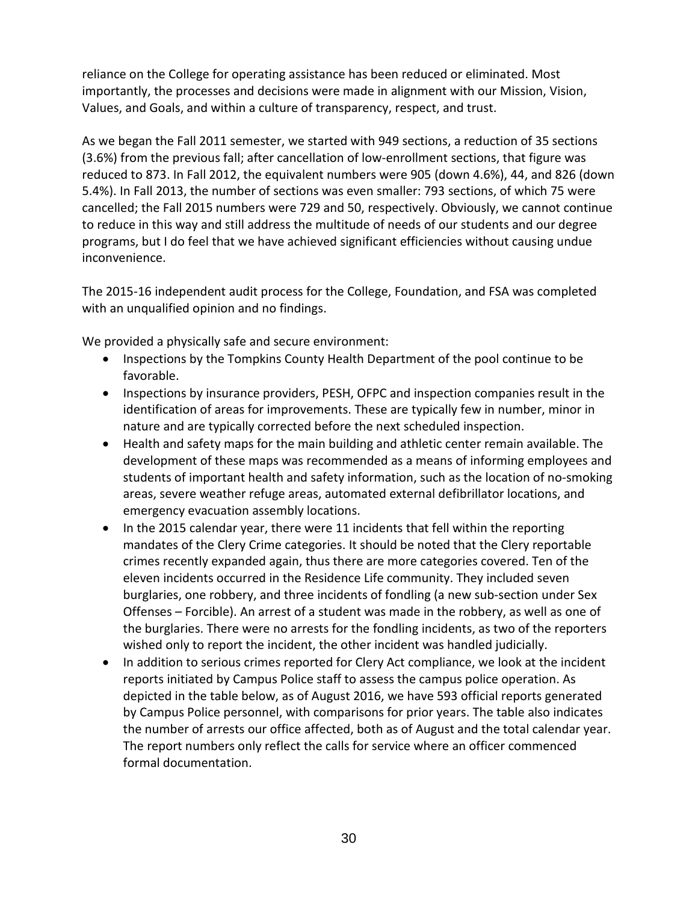reliance on the College for operating assistance has been reduced or eliminated. Most importantly, the processes and decisions were made in alignment with our Mission, Vision, Values, and Goals, and within a culture of transparency, respect, and trust.

As we began the Fall 2011 semester, we started with 949 sections, a reduction of 35 sections (3.6%) from the previous fall; after cancellation of low-enrollment sections, that figure was reduced to 873. In Fall 2012, the equivalent numbers were 905 (down 4.6%), 44, and 826 (down 5.4%). In Fall 2013, the number of sections was even smaller: 793 sections, of which 75 were cancelled; the Fall 2015 numbers were 729 and 50, respectively. Obviously, we cannot continue to reduce in this way and still address the multitude of needs of our students and our degree programs, but I do feel that we have achieved significant efficiencies without causing undue inconvenience.

The 2015-16 independent audit process for the College, Foundation, and FSA was completed with an unqualified opinion and no findings.

We provided a physically safe and secure environment:

- Inspections by the Tompkins County Health Department of the pool continue to be favorable.
- Inspections by insurance providers, PESH, OFPC and inspection companies result in the identification of areas for improvements. These are typically few in number, minor in nature and are typically corrected before the next scheduled inspection.
- Health and safety maps for the main building and athletic center remain available. The development of these maps was recommended as a means of informing employees and students of important health and safety information, such as the location of no-smoking areas, severe weather refuge areas, automated external defibrillator locations, and emergency evacuation assembly locations.
- In the 2015 calendar year, there were 11 incidents that fell within the reporting mandates of the Clery Crime categories. It should be noted that the Clery reportable crimes recently expanded again, thus there are more categories covered. Ten of the eleven incidents occurred in the Residence Life community. They included seven burglaries, one robbery, and three incidents of fondling (a new sub-section under Sex Offenses – Forcible). An arrest of a student was made in the robbery, as well as one of the burglaries. There were no arrests for the fondling incidents, as two of the reporters wished only to report the incident, the other incident was handled judicially.
- In addition to serious crimes reported for Clery Act compliance, we look at the incident reports initiated by Campus Police staff to assess the campus police operation. As depicted in the table below, as of August 2016, we have 593 official reports generated by Campus Police personnel, with comparisons for prior years. The table also indicates the number of arrests our office affected, both as of August and the total calendar year. The report numbers only reflect the calls for service where an officer commenced formal documentation.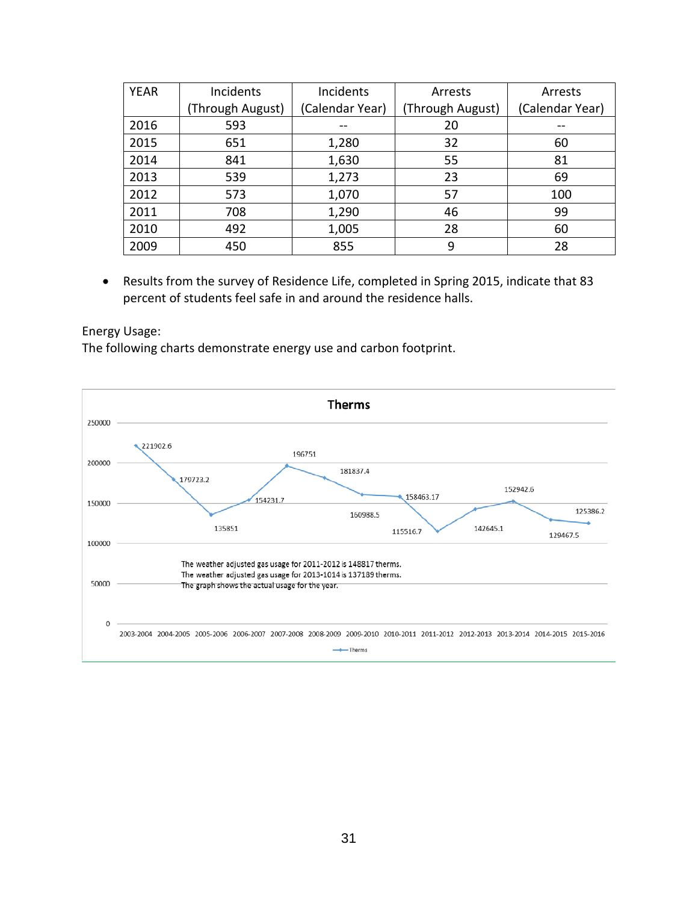| <b>YEAR</b> | Incidents        | Incidents       | Arrests          | Arrests         |
|-------------|------------------|-----------------|------------------|-----------------|
|             | (Through August) | (Calendar Year) | (Through August) | (Calendar Year) |
| 2016        | 593              |                 | 20               |                 |
| 2015        | 651              | 1,280           | 32               | 60              |
| 2014        | 841              | 1,630           | 55               | 81              |
| 2013        | 539              | 1,273           | 23               | 69              |
| 2012        | 573              | 1,070           | 57               | 100             |
| 2011        | 708              | 1,290           | 46               | 99              |
| 2010        | 492              | 1,005           | 28               | 60              |
| 2009        | 450              | 855             | 9                | 28              |

• Results from the survey of Residence Life, completed in Spring 2015, indicate that 83 percent of students feel safe in and around the residence halls.

#### Energy Usage:

The following charts demonstrate energy use and carbon footprint.

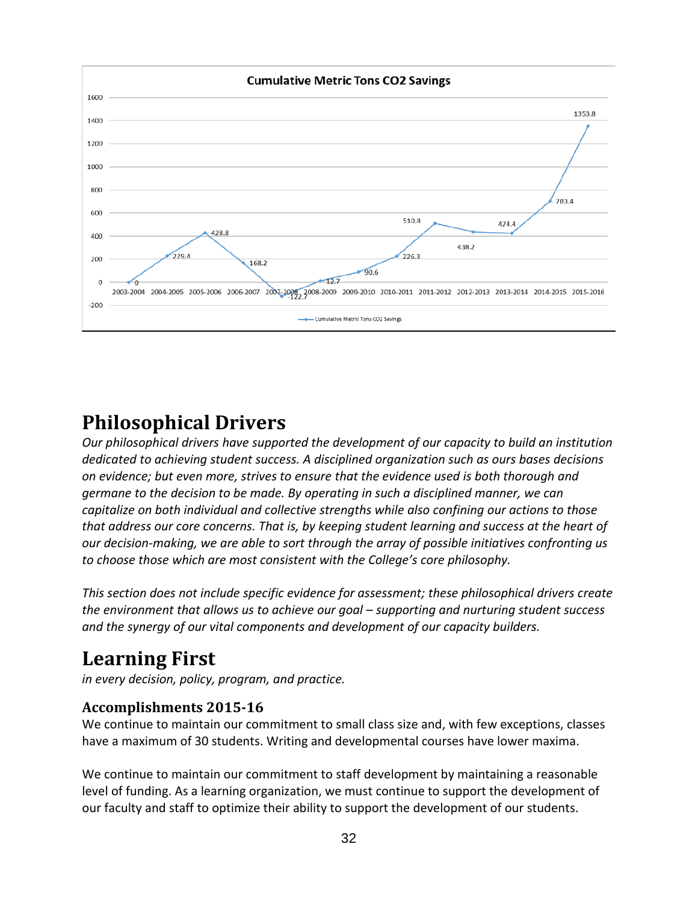

# **Philosophical Drivers**

*Our philosophical drivers have supported the development of our capacity to build an institution dedicated to achieving student success. A disciplined organization such as ours bases decisions on evidence; but even more, strives to ensure that the evidence used is both thorough and germane to the decision to be made. By operating in such a disciplined manner, we can capitalize on both individual and collective strengths while also confining our actions to those that address our core concerns. That is, by keeping student learning and success at the heart of our decision-making, we are able to sort through the array of possible initiatives confronting us to choose those which are most consistent with the College's core philosophy.*

*This section does not include specific evidence for assessment; these philosophical drivers create the environment that allows us to achieve our goal – supporting and nurturing student success and the synergy of our vital components and development of our capacity builders.*

# **Learning First**

*in every decision, policy, program, and practice.* 

### **Accomplishments 2015-16**

We continue to maintain our commitment to small class size and, with few exceptions, classes have a maximum of 30 students. Writing and developmental courses have lower maxima.

We continue to maintain our commitment to staff development by maintaining a reasonable level of funding. As a learning organization, we must continue to support the development of our faculty and staff to optimize their ability to support the development of our students.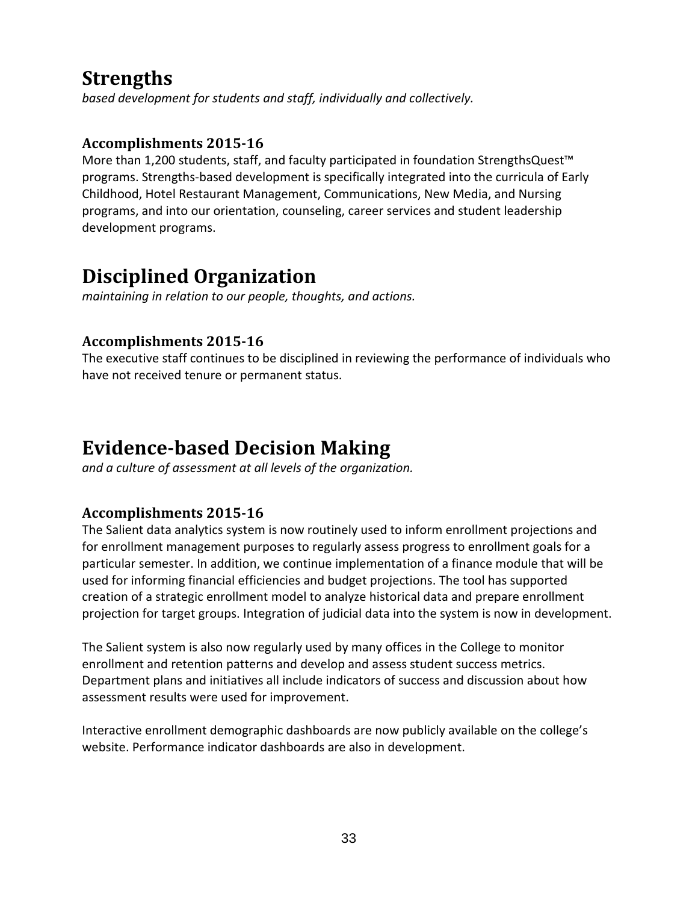# **Strengths**

*based development for students and staff, individually and collectively.* 

## **Accomplishments 2015-16**

More than 1,200 students, staff, and faculty participated in foundation StrengthsQuest™ programs. Strengths-based development is specifically integrated into the curricula of Early Childhood, Hotel Restaurant Management, Communications, New Media, and Nursing programs, and into our orientation, counseling, career services and student leadership development programs.

# **Disciplined Organization**

*maintaining in relation to our people, thoughts, and actions.* 

## **Accomplishments 2015-16**

The executive staff continues to be disciplined in reviewing the performance of individuals who have not received tenure or permanent status.

# **Evidence-based Decision Making**

*and a culture of assessment at all levels of the organization.* 

## **Accomplishments 2015-16**

The Salient data analytics system is now routinely used to inform enrollment projections and for enrollment management purposes to regularly assess progress to enrollment goals for a particular semester. In addition, we continue implementation of a finance module that will be used for informing financial efficiencies and budget projections. The tool has supported creation of a strategic enrollment model to analyze historical data and prepare enrollment projection for target groups. Integration of judicial data into the system is now in development.

The Salient system is also now regularly used by many offices in the College to monitor enrollment and retention patterns and develop and assess student success metrics. Department plans and initiatives all include indicators of success and discussion about how assessment results were used for improvement.

Interactive enrollment demographic dashboards are now publicly available on the college's website. Performance indicator dashboards are also in development.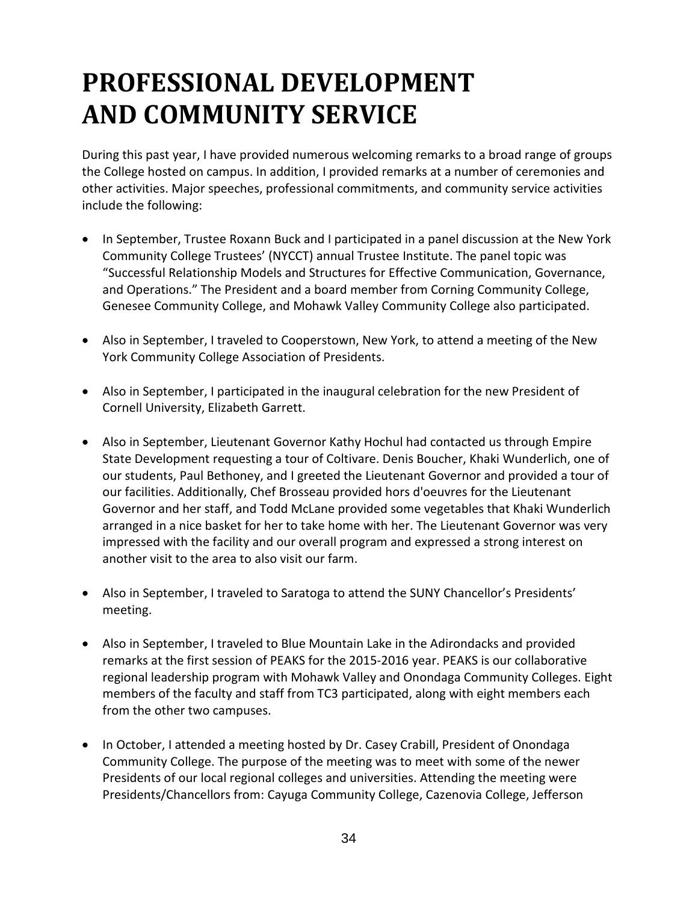# **PROFESSIONAL DEVELOPMENT AND COMMUNITY SERVICE**

During this past year, I have provided numerous welcoming remarks to a broad range of groups the College hosted on campus. In addition, I provided remarks at a number of ceremonies and other activities. Major speeches, professional commitments, and community service activities include the following:

- In September, Trustee Roxann Buck and I participated in a panel discussion at the New York Community College Trustees' (NYCCT) annual Trustee Institute. The panel topic was "Successful Relationship Models and Structures for Effective Communication, Governance, and Operations." The President and a board member from Corning Community College, Genesee Community College, and Mohawk Valley Community College also participated.
- Also in September, I traveled to Cooperstown, New York, to attend a meeting of the New York Community College Association of Presidents.
- Also in September, I participated in the inaugural celebration for the new President of Cornell University, Elizabeth Garrett.
- Also in September, Lieutenant Governor Kathy Hochul had contacted us through Empire State Development requesting a tour of Coltivare. Denis Boucher, Khaki Wunderlich, one of our students, Paul Bethoney, and I greeted the Lieutenant Governor and provided a tour of our facilities. Additionally, Chef Brosseau provided hors d'oeuvres for the Lieutenant Governor and her staff, and Todd McLane provided some vegetables that Khaki Wunderlich arranged in a nice basket for her to take home with her. The Lieutenant Governor was very impressed with the facility and our overall program and expressed a strong interest on another visit to the area to also visit our farm.
- Also in September, I traveled to Saratoga to attend the SUNY Chancellor's Presidents' meeting.
- Also in September, I traveled to Blue Mountain Lake in the Adirondacks and provided remarks at the first session of PEAKS for the 2015-2016 year. PEAKS is our collaborative regional leadership program with Mohawk Valley and Onondaga Community Colleges. Eight members of the faculty and staff from TC3 participated, along with eight members each from the other two campuses.
- In October, I attended a meeting hosted by Dr. Casey Crabill, President of Onondaga Community College. The purpose of the meeting was to meet with some of the newer Presidents of our local regional colleges and universities. Attending the meeting were Presidents/Chancellors from: Cayuga Community College, Cazenovia College, Jefferson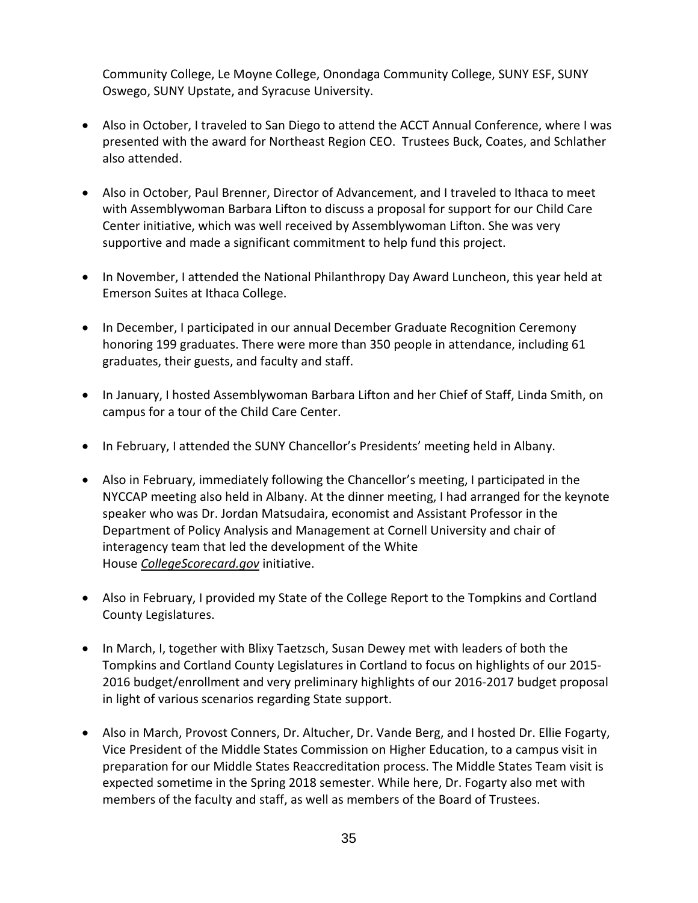Community College, Le Moyne College, Onondaga Community College, SUNY ESF, SUNY Oswego, SUNY Upstate, and Syracuse University.

- Also in October, I traveled to San Diego to attend the ACCT Annual Conference, where I was presented with the award for Northeast Region CEO. Trustees Buck, Coates, and Schlather also attended.
- Also in October, Paul Brenner, Director of Advancement, and I traveled to Ithaca to meet with Assemblywoman Barbara Lifton to discuss a proposal for support for our Child Care Center initiative, which was well received by Assemblywoman Lifton. She was very supportive and made a significant commitment to help fund this project.
- In November, I attended the National Philanthropy Day Award Luncheon, this year held at Emerson Suites at Ithaca College.
- In December, I participated in our annual December Graduate Recognition Ceremony honoring 199 graduates. There were more than 350 people in attendance, including 61 graduates, their guests, and faculty and staff.
- In January, I hosted Assemblywoman Barbara Lifton and her Chief of Staff, Linda Smith, on campus for a tour of the Child Care Center.
- In February, I attended the SUNY Chancellor's Presidents' meeting held in Albany.
- Also in February, immediately following the Chancellor's meeting, I participated in the NYCCAP meeting also held in Albany. At the dinner meeting, I had arranged for the keynote speaker who was Dr. Jordan Matsudaira, economist and Assistant Professor in the Department of Policy Analysis and Management at Cornell University and chair of interagency team that led the development of the White House *[CollegeScorecard.gov](http://collegescorecard.gov/)* initiative.
- Also in February, I provided my State of the College Report to the Tompkins and Cortland County Legislatures.
- In March, I, together with Blixy Taetzsch, Susan Dewey met with leaders of both the Tompkins and Cortland County Legislatures in Cortland to focus on highlights of our 2015- 2016 budget/enrollment and very preliminary highlights of our 2016-2017 budget proposal in light of various scenarios regarding State support.
- Also in March, Provost Conners, Dr. Altucher, Dr. Vande Berg, and I hosted Dr. Ellie Fogarty, Vice President of the Middle States Commission on Higher Education, to a campus visit in preparation for our Middle States Reaccreditation process. The Middle States Team visit is expected sometime in the Spring 2018 semester. While here, Dr. Fogarty also met with members of the faculty and staff, as well as members of the Board of Trustees.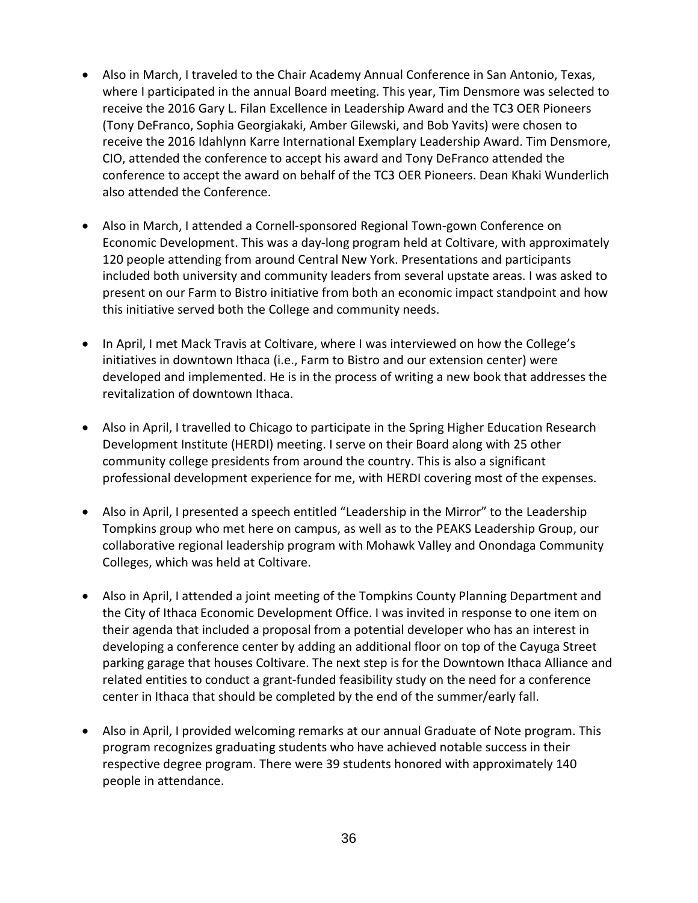- Also in March, I traveled to the Chair Academy Annual Conference in San Antonio, Texas, where I participated in the annual Board meeting. This year, Tim Densmore was selected to receive the 2016 Gary L. Filan Excellence in Leadership Award and the TC3 OER Pioneers (Tony DeFranco, Sophia Georgiakaki, Amber Gilewski, and Bob Yavits) were chosen to receive the 2016 Idahlynn Karre International Exemplary Leadership Award. Tim Densmore, CIO, attended the conference to accept his award and Tony DeFranco attended the conference to accept the award on behalf of the TC3 OER Pioneers. Dean Khaki Wunderlich also attended the Conference.
- Also in March, I attended a Cornell-sponsored Regional Town-gown Conference on Economic Development. This was a day-long program held at Coltivare, with approximately 120 people attending from around Central New York. Presentations and participants included both university and community leaders from several upstate areas. I was asked to present on our Farm to Bistro initiative from both an economic impact standpoint and how this initiative served both the College and community needs.
- In April, I met Mack Travis at Coltivare, where I was interviewed on how the College's initiatives in downtown Ithaca (i.e., Farm to Bistro and our extension center) were developed and implemented. He is in the process of writing a new book that addresses the revitalization of downtown Ithaca.
- Also in April, I travelled to Chicago to participate in the Spring Higher Education Research Development Institute (HERDI) meeting. I serve on their Board along with 25 other community college presidents from around the country. This is also a significant professional development experience for me, with HERDI covering most of the expenses.
- Also in April, I presented a speech entitled "Leadership in the Mirror" to the Leadership Tompkins group who met here on campus, as well as to the PEAKS Leadership Group, our collaborative regional leadership program with Mohawk Valley and Onondaga Community Colleges, which was held at Coltivare.
- Also in April, I attended a joint meeting of the Tompkins County Planning Department and the City of Ithaca Economic Development Office. I was invited in response to one item on their agenda that included a proposal from a potential developer who has an interest in developing a conference center by adding an additional floor on top of the Cayuga Street parking garage that houses Coltivare. The next step is for the Downtown Ithaca Alliance and related entities to conduct a grant-funded feasibility study on the need for a conference center in Ithaca that should be completed by the end of the summer/early fall.
- Also in April, I provided welcoming remarks at our annual Graduate of Note program. This program recognizes graduating students who have achieved notable success in their respective degree program. There were 39 students honored with approximately 140 people in attendance.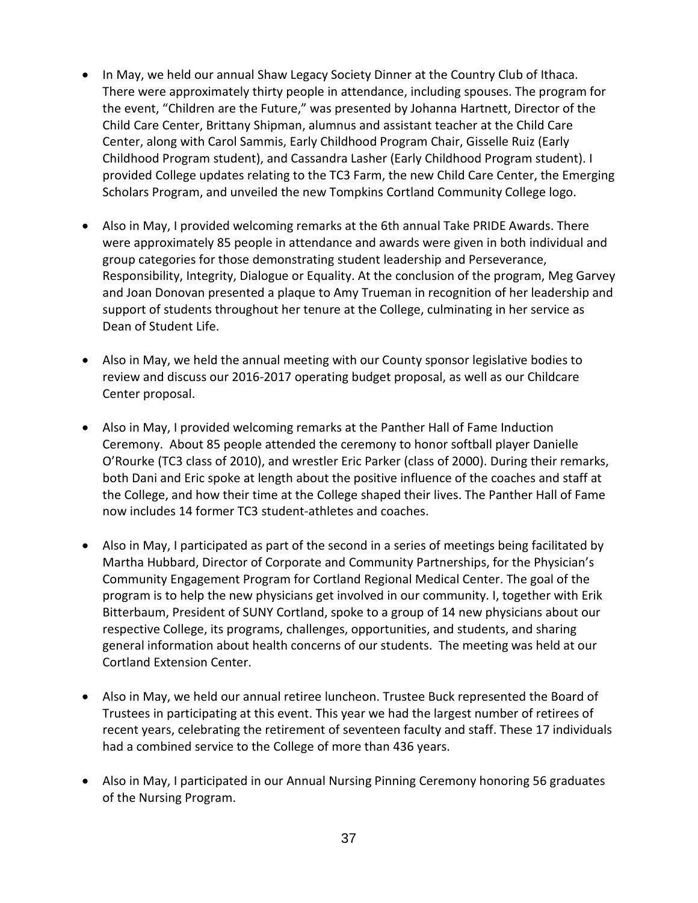- In May, we held our annual Shaw Legacy Society Dinner at the Country Club of Ithaca. There were approximately thirty people in attendance, including spouses. The program for the event, "Children are the Future," was presented by Johanna Hartnett, Director of the Child Care Center, Brittany Shipman, alumnus and assistant teacher at the Child Care Center, along with Carol Sammis, Early Childhood Program Chair, Gisselle Ruiz (Early Childhood Program student), and Cassandra Lasher (Early Childhood Program student). I provided College updates relating to the TC3 Farm, the new Child Care Center, the Emerging Scholars Program, and unveiled the new Tompkins Cortland Community College logo.
- Also in May, I provided welcoming remarks at the 6th annual Take PRIDE Awards. There were approximately 85 people in attendance and awards were given in both individual and group categories for those demonstrating student leadership and Perseverance, Responsibility, Integrity, Dialogue or Equality. At the conclusion of the program, Meg Garvey and Joan Donovan presented a plaque to Amy Trueman in recognition of her leadership and support of students throughout her tenure at the College, culminating in her service as Dean of Student Life.
- Also in May, we held the annual meeting with our County sponsor legislative bodies to review and discuss our 2016-2017 operating budget proposal, as well as our Childcare Center proposal.
- Also in May, I provided welcoming remarks at the Panther Hall of Fame Induction Ceremony. About 85 people attended the ceremony to honor softball player Danielle O'Rourke (TC3 class of 2010), and wrestler Eric Parker (class of 2000). During their remarks, both Dani and Eric spoke at length about the positive influence of the coaches and staff at the College, and how their time at the College shaped their lives. The Panther Hall of Fame now includes 14 former TC3 student-athletes and coaches.
- Also in May, I participated as part of the second in a series of meetings being facilitated by Martha Hubbard, Director of Corporate and Community Partnerships, for the Physician's Community Engagement Program for Cortland Regional Medical Center. The goal of the program is to help the new physicians get involved in our community. I, together with Erik Bitterbaum, President of SUNY Cortland, spoke to a group of 14 new physicians about our respective College, its programs, challenges, opportunities, and students, and sharing general information about health concerns of our students. The meeting was held at our Cortland Extension Center.
- Also in May, we held our annual retiree luncheon. Trustee Buck represented the Board of Trustees in participating at this event. This year we had the largest number of retirees of recent years, celebrating the retirement of seventeen faculty and staff. These 17 individuals had a combined service to the College of more than 436 years.
- Also in May, I participated in our Annual Nursing Pinning Ceremony honoring 56 graduates of the Nursing Program.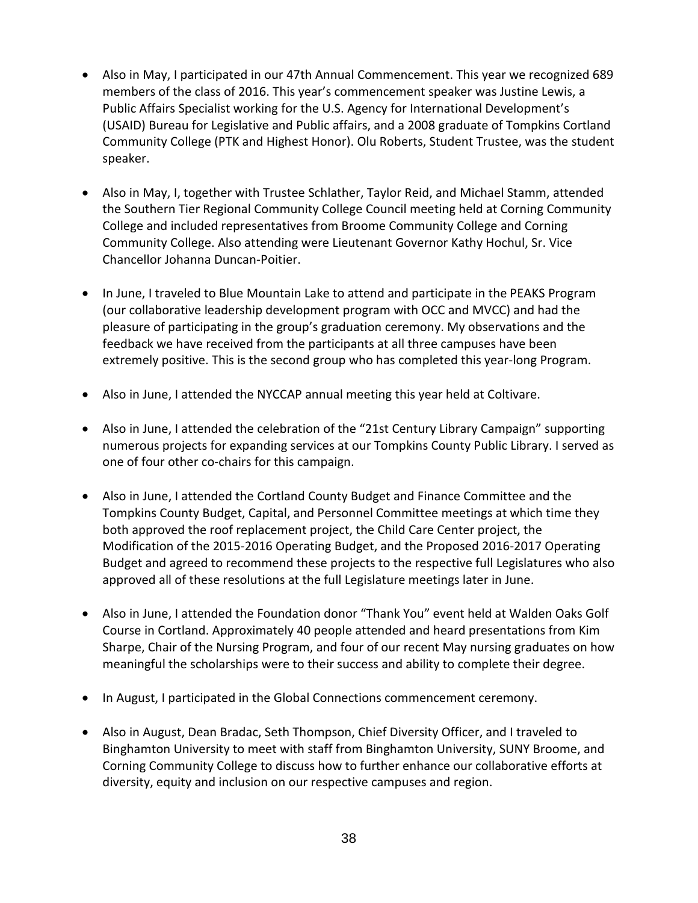- Also in May, I participated in our 47th Annual Commencement. This year we recognized 689 members of the class of 2016. This year's commencement speaker was Justine Lewis, a Public Affairs Specialist working for the U.S. Agency for International Development's (USAID) Bureau for Legislative and Public affairs, and a 2008 graduate of Tompkins Cortland Community College (PTK and Highest Honor). Olu Roberts, Student Trustee, was the student speaker.
- Also in May, I, together with Trustee Schlather, Taylor Reid, and Michael Stamm, attended the Southern Tier Regional Community College Council meeting held at Corning Community College and included representatives from Broome Community College and Corning Community College. Also attending were Lieutenant Governor Kathy Hochul, Sr. Vice Chancellor Johanna Duncan-Poitier.
- In June, I traveled to Blue Mountain Lake to attend and participate in the PEAKS Program (our collaborative leadership development program with OCC and MVCC) and had the pleasure of participating in the group's graduation ceremony. My observations and the feedback we have received from the participants at all three campuses have been extremely positive. This is the second group who has completed this year-long Program.
- Also in June, I attended the NYCCAP annual meeting this year held at Coltivare.
- Also in June, I attended the celebration of the "21st Century Library Campaign" supporting numerous projects for expanding services at our Tompkins County Public Library. I served as one of four other co-chairs for this campaign.
- Also in June, I attended the Cortland County Budget and Finance Committee and the Tompkins County Budget, Capital, and Personnel Committee meetings at which time they both approved the roof replacement project, the Child Care Center project, the Modification of the 2015-2016 Operating Budget, and the Proposed 2016-2017 Operating Budget and agreed to recommend these projects to the respective full Legislatures who also approved all of these resolutions at the full Legislature meetings later in June.
- Also in June, I attended the Foundation donor "Thank You" event held at Walden Oaks Golf Course in Cortland. Approximately 40 people attended and heard presentations from Kim Sharpe, Chair of the Nursing Program, and four of our recent May nursing graduates on how meaningful the scholarships were to their success and ability to complete their degree.
- In August, I participated in the Global Connections commencement ceremony.
- Also in August, Dean Bradac, Seth Thompson, Chief Diversity Officer, and I traveled to Binghamton University to meet with staff from Binghamton University, SUNY Broome, and Corning Community College to discuss how to further enhance our collaborative efforts at diversity, equity and inclusion on our respective campuses and region.